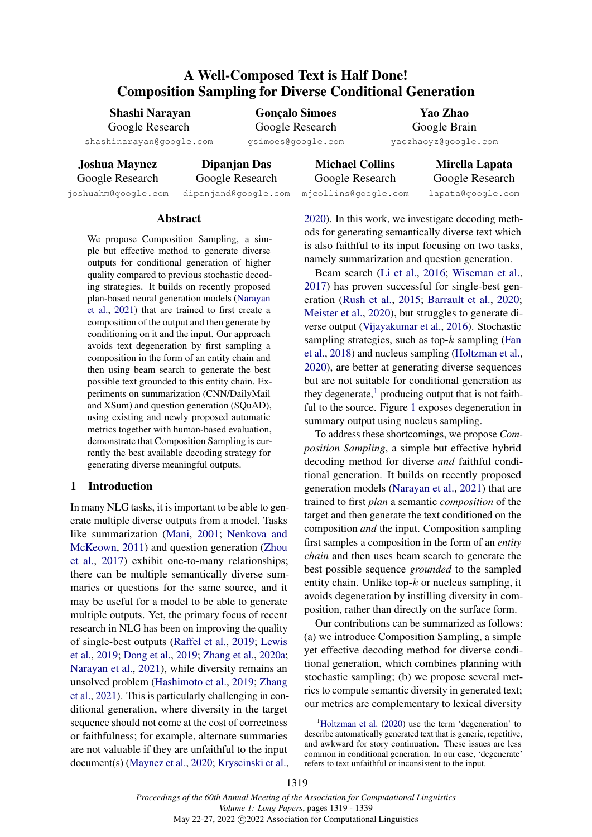# A Well-Composed Text is Half Done! Composition Sampling for Diverse Conditional Generation

Shashi Narayan Google Research

shashinarayan@google.com

Gonçalo Simoes Google Research gsimoes@google.com

Yao Zhao Google Brain

yaozhaoyz@google.com

Google Research joshuahm@google.com

Joshua Maynez

Dipanjan Das Google Research dipanjand@google.com

Michael Collins Google Research mjcollins@google.com

Mirella Lapata Google Research lapata@google.com

Abstract

We propose Composition Sampling, a simple but effective method to generate diverse outputs for conditional generation of higher quality compared to previous stochastic decoding strategies. It builds on recently proposed plan-based neural generation models [\(Narayan](#page-11-0) [et al.,](#page-11-0) [2021\)](#page-11-0) that are trained to first create a composition of the output and then generate by conditioning on it and the input. Our approach avoids text degeneration by first sampling a composition in the form of an entity chain and then using beam search to generate the best possible text grounded to this entity chain. Experiments on summarization (CNN/DailyMail and XSum) and question generation (SQuAD), using existing and newly proposed automatic metrics together with human-based evaluation, demonstrate that Composition Sampling is currently the best available decoding strategy for generating diverse meaningful outputs.

## 1 Introduction

In many NLG tasks, it is important to be able to generate multiple diverse outputs from a model. Tasks like summarization [\(Mani,](#page-11-1) [2001;](#page-11-1) [Nenkova and](#page-11-2) [McKeown,](#page-11-2) [2011\)](#page-11-2) and question generation [\(Zhou](#page-12-0) [et al.,](#page-12-0) [2017\)](#page-12-0) exhibit one-to-many relationships; there can be multiple semantically diverse summaries or questions for the same source, and it may be useful for a model to be able to generate multiple outputs. Yet, the primary focus of recent research in NLG has been on improving the quality of single-best outputs [\(Raffel et al.,](#page-11-3) [2019;](#page-11-3) [Lewis](#page-11-4) [et al.,](#page-11-4) [2019;](#page-11-4) [Dong et al.,](#page-10-0) [2019;](#page-10-0) [Zhang et al.,](#page-12-1) [2020a;](#page-12-1) [Narayan et al.,](#page-11-0) [2021\)](#page-11-0), while diversity remains an unsolved problem [\(Hashimoto et al.,](#page-10-1) [2019;](#page-10-1) [Zhang](#page-12-2) [et al.,](#page-12-2) [2021\)](#page-12-2). This is particularly challenging in conditional generation, where diversity in the target sequence should not come at the cost of correctness or faithfulness; for example, alternate summaries are not valuable if they are unfaithful to the input document(s) [\(Maynez et al.,](#page-11-5) [2020;](#page-11-5) [Kryscinski et al.,](#page-11-6) [2020\)](#page-11-6). In this work, we investigate decoding methods for generating semantically diverse text which is also faithful to its input focusing on two tasks, namely summarization and question generation.

Beam search [\(Li et al.,](#page-11-7) [2016;](#page-11-7) [Wiseman et al.,](#page-12-3) [2017\)](#page-12-3) has proven successful for single-best generation [\(Rush et al.,](#page-11-8) [2015;](#page-11-8) [Barrault et al.,](#page-9-0) [2020;](#page-9-0) [Meister et al.,](#page-11-9) [2020\)](#page-11-9), but struggles to generate diverse output [\(Vijayakumar et al.,](#page-12-4) [2016\)](#page-12-4). Stochastic sampling strategies, such as top- $k$  sampling [\(Fan](#page-10-2) [et al.,](#page-10-2) [2018\)](#page-10-2) and nucleus sampling [\(Holtzman et al.,](#page-10-3) [2020\)](#page-10-3), are better at generating diverse sequences but are not suitable for conditional generation as they degenerate, $\frac{1}{1}$  $\frac{1}{1}$  $\frac{1}{1}$  producing output that is not faithful to the source. Figure [1](#page-1-0) exposes degeneration in summary output using nucleus sampling.

To address these shortcomings, we propose *Composition Sampling*, a simple but effective hybrid decoding method for diverse *and* faithful conditional generation. It builds on recently proposed generation models [\(Narayan et al.,](#page-11-0) [2021\)](#page-11-0) that are trained to first *plan* a semantic *composition* of the target and then generate the text conditioned on the composition *and* the input. Composition sampling first samples a composition in the form of an *entity chain* and then uses beam search to generate the best possible sequence *grounded* to the sampled entity chain. Unlike top- $k$  or nucleus sampling, it avoids degeneration by instilling diversity in composition, rather than directly on the surface form.

Our contributions can be summarized as follows: (a) we introduce Composition Sampling, a simple yet effective decoding method for diverse conditional generation, which combines planning with stochastic sampling; (b) we propose several metrics to compute semantic diversity in generated text; our metrics are complementary to lexical diversity

<span id="page-0-0"></span> $<sup>1</sup>$ [Holtzman et al.](#page-10-3) [\(2020\)](#page-10-3) use the term 'degeneration' to</sup> describe automatically generated text that is generic, repetitive, and awkward for story continuation. These issues are less common in conditional generation. In our case, 'degenerate' refers to text unfaithful or inconsistent to the input.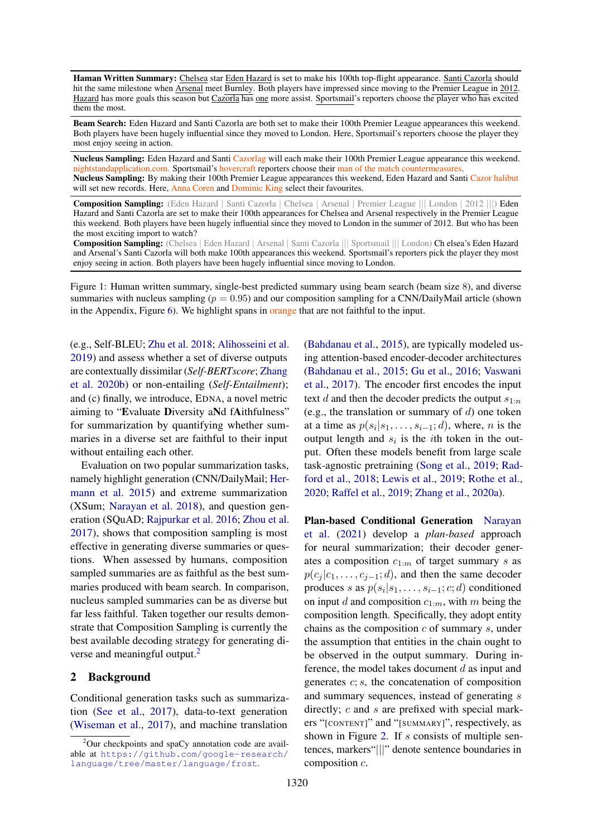<span id="page-1-0"></span>Haman Written Summary: Chelsea star Eden Hazard is set to make his 100th top-flight appearance. Santi Cazorla should hit the same milestone when Arsenal meet Burnley. Both players have impressed since moving to the Premier League in 2012. Hazard has more goals this season but Cazorla has one more assist. Sportsmail's reporters choose the player who has excited them the most.

Beam Search: Eden Hazard and Santi Cazorla are both set to make their 100th Premier League appearances this weekend. Both players have been hugely influential since they moved to London. Here, Sportsmail's reporters choose the player they most enjoy seeing in action.

Nucleus Sampling: Eden Hazard and Santi Cazorlag will each make their 100th Premier League appearance this weekend. nightstandapplication.com. Sportsmail's hovercraft reporters choose their man of the match countermeasures. Nucleus Sampling: By making their 100th Premier League appearances this weekend, Eden Hazard and Santi Cazor halibut will set new records. Here, Anna Coren and Dominic King select their favourites.

Composition Sampling: (Eden Hazard | Santi Cazorla | Chelsea | Arsenal | Premier League ||| London | 2012 |||) Eden Hazard and Santi Cazorla are set to make their 100th appearances for Chelsea and Arsenal respectively in the Premier League this weekend. Both players have been hugely influential since they moved to London in the summer of 2012. But who has been the most exciting import to watch?

Composition Sampling: (Chelsea | Eden Hazard | Arsenal | Santi Cazorla ||| Sportsmail ||| London) Ch elsea's Eden Hazard and Arsenal's Santi Cazorla will both make 100th appearances this weekend. Sportsmail's reporters pick the player they most enjoy seeing in action. Both players have been hugely influential since moving to London.

Figure 1: Human written summary, single-best predicted summary using beam search (beam size 8), and diverse summaries with nucleus sampling ( $p = 0.95$ ) and our composition sampling for a CNN/DailyMail article (shown in the Appendix, Figure [6\)](#page-15-0). We highlight spans in orange that are not faithful to the input.

(e.g., Self-BLEU; [Zhu et al.](#page-12-5) [2018;](#page-12-5) [Alihosseini et al.](#page-9-1) [2019\)](#page-9-1) and assess whether a set of diverse outputs are contextually dissimilar (*Self-BERTscore*; [Zhang](#page-12-6) [et al.](#page-12-6) [2020b\)](#page-12-6) or non-entailing (*Self-Entailment*); and (c) finally, we introduce, EDNA, a novel metric aiming to "Evaluate Diversity aNd fAithfulness" for summarization by quantifying whether summaries in a diverse set are faithful to their input without entailing each other.

Evaluation on two popular summarization tasks, namely highlight generation (CNN/DailyMail; [Her](#page-10-4)[mann et al.](#page-10-4) [2015\)](#page-10-4) and extreme summarization (XSum; [Narayan et al.](#page-11-10) [2018\)](#page-11-10), and question generation (SQuAD; [Rajpurkar et al.](#page-11-11) [2016;](#page-11-11) [Zhou et al.](#page-12-0) [2017\)](#page-12-0), shows that composition sampling is most effective in generating diverse summaries or questions. When assessed by humans, composition sampled summaries are as faithful as the best summaries produced with beam search. In comparison, nucleus sampled summaries can be as diverse but far less faithful. Taken together our results demonstrate that Composition Sampling is currently the best available decoding strategy for generating di-verse and meaningful output.<sup>[2](#page-1-1)</sup>

## 2 Background

Conditional generation tasks such as summarization [\(See et al.,](#page-12-7) [2017\)](#page-12-7), data-to-text generation [\(Wiseman et al.,](#page-12-3) [2017\)](#page-12-3), and machine translation

[\(Bahdanau et al.,](#page-9-2) [2015\)](#page-9-2), are typically modeled using attention-based encoder-decoder architectures [\(Bahdanau et al.,](#page-9-2) [2015;](#page-9-2) [Gu et al.,](#page-10-5) [2016;](#page-10-5) [Vaswani](#page-12-8) [et al.,](#page-12-8) [2017\)](#page-12-8). The encoder first encodes the input text d and then the decoder predicts the output  $s_{1:n}$ (e.g., the translation or summary of  $d$ ) one token at a time as  $p(s_i|s_1,\ldots,s_{i-1};d)$ , where, n is the output length and  $s_i$  is the *i*th token in the output. Often these models benefit from large scale task-agnostic pretraining [\(Song et al.,](#page-12-9) [2019;](#page-12-9) [Rad](#page-11-12)[ford et al.,](#page-11-12) [2018;](#page-11-12) [Lewis et al.,](#page-11-4) [2019;](#page-11-4) [Rothe et al.,](#page-11-13) [2020;](#page-11-13) [Raffel et al.,](#page-11-3) [2019;](#page-11-3) [Zhang et al.,](#page-12-1) [2020a\)](#page-12-1).

Plan-based Conditional Generation [Narayan](#page-11-0) [et al.](#page-11-0) [\(2021\)](#page-11-0) develop a *plan-based* approach for neural summarization; their decoder generates a composition  $c_{1:m}$  of target summary s as  $p(c_j | c_1, \ldots, c_{j-1}; d)$ , and then the same decoder produces s as  $p(s_i|s_1,\ldots,s_{i-1};c;d)$  conditioned on input d and composition  $c_{1:m}$ , with m being the composition length. Specifically, they adopt entity chains as the composition  $c$  of summary  $s$ , under the assumption that entities in the chain ought to be observed in the output summary. During inference, the model takes document d as input and generates  $c$ ;  $s$ , the concatenation of composition and summary sequences, instead of generating s directly; c and s are prefixed with special markers "[CONTENT]" and "[SUMMARY]", respectively, as shown in Figure [2.](#page-2-0) If  $s$  consists of multiple sentences, markers"|||" denote sentence boundaries in composition c.

<span id="page-1-1"></span> $2$ Our checkpoints and spaCy annotation code are available at [https://github.com/google-research/](https://github.com/google-research/language/tree/master/language/frost) [language/tree/master/language/frost](https://github.com/google-research/language/tree/master/language/frost).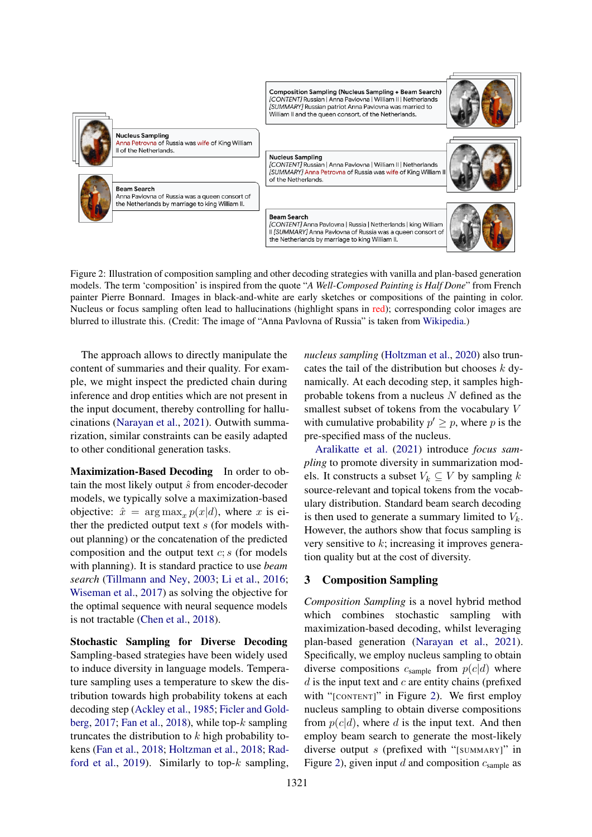Composition Sampling (Nucleus Sampling + Beam Search) **[CONTENT]** Russian | Anna Paylovna | William II | Netherlands [SUMMARY] Russian patriot Anna Pavlovna was married to William II and the queen consort, of the Netherlands.

<span id="page-2-0"></span>

**Nucleus Sampling**<br>Anna Petrovna of Russia was wife of King William Il of the Netherlands.

**Beam Search** Anna Payloyna of Russia was a queen consort of the Netherlands by marriage to king William II.

**Nucleus Sampling** [CONTENT] Russian | Anna Pavlovna | William II | Netherlands [SUMMARY] Anna Petrovna of Russia was wife of King William I of the Netherlands.

**Beam Search** [CONTENT] Anna Pavlovna | Russia | Netherlands | king William Il [SUMMARY] Anna Pavlovna of Russia was a queen consort of the Netherlands by marriage to king William II.



Figure 2: Illustration of composition sampling and other decoding strategies with vanilla and plan-based generation models. The term 'composition' is inspired from the quote "*A Well-Composed Painting is Half Done*" from French painter Pierre Bonnard. Images in black-and-white are early sketches or compositions of the painting in color. Nucleus or focus sampling often lead to hallucinations (highlight spans in red); corresponding color images are blurred to illustrate this. (Credit: The image of "Anna Pavlovna of Russia" is taken from [Wikipedia.](https://en.wikipedia.org/wiki/Anna_Pavlovna_of_Russia#/media/File:Anna_Pavlovna_of_Russia.jpg))

The approach allows to directly manipulate the content of summaries and their quality. For example, we might inspect the predicted chain during inference and drop entities which are not present in the input document, thereby controlling for hallucinations [\(Narayan et al.,](#page-11-0) [2021\)](#page-11-0). Outwith summarization, similar constraints can be easily adapted to other conditional generation tasks.

Maximization-Based Decoding In order to obtain the most likely output  $\hat{s}$  from encoder-decoder models, we typically solve a maximization-based objective:  $\hat{x} = \arg \max_{x} p(x|d)$ , where x is either the predicted output text  $s$  (for models without planning) or the concatenation of the predicted composition and the output text  $c$ ;  $s$  (for models with planning). It is standard practice to use *beam search* [\(Tillmann and Ney,](#page-12-10) [2003;](#page-12-10) [Li et al.,](#page-11-7) [2016;](#page-11-7) [Wiseman et al.,](#page-12-3) [2017\)](#page-12-3) as solving the objective for the optimal sequence with neural sequence models is not tractable [\(Chen et al.,](#page-9-3) [2018\)](#page-9-3).

Stochastic Sampling for Diverse Decoding Sampling-based strategies have been widely used to induce diversity in language models. Temperature sampling uses a temperature to skew the distribution towards high probability tokens at each decoding step [\(Ackley et al.,](#page-9-4) [1985;](#page-9-4) [Ficler and Gold](#page-10-6)[berg,](#page-10-6) [2017;](#page-10-6) [Fan et al.,](#page-10-2) [2018\)](#page-10-2), while top- $k$  sampling truncates the distribution to  $k$  high probability tokens [\(Fan et al.,](#page-10-2) [2018;](#page-10-2) [Holtzman et al.,](#page-10-7) [2018;](#page-10-7) [Rad](#page-11-14)[ford et al.,](#page-11-14) [2019\)](#page-11-14). Similarly to top- $k$  sampling,

*nucleus sampling* [\(Holtzman et al.,](#page-10-3) [2020\)](#page-10-3) also truncates the tail of the distribution but chooses  $k$  dynamically. At each decoding step, it samples highprobable tokens from a nucleus N defined as the smallest subset of tokens from the vocabulary V with cumulative probability  $p' \geq p$ , where p is the pre-specified mass of the nucleus.

[Aralikatte et al.](#page-9-5) [\(2021\)](#page-9-5) introduce *focus sampling* to promote diversity in summarization models. It constructs a subset  $V_k \subseteq V$  by sampling k source-relevant and topical tokens from the vocabulary distribution. Standard beam search decoding is then used to generate a summary limited to  $V_k$ . However, the authors show that focus sampling is very sensitive to  $k$ ; increasing it improves generation quality but at the cost of diversity.

## 3 Composition Sampling

*Composition Sampling* is a novel hybrid method which combines stochastic sampling with maximization-based decoding, whilst leveraging plan-based generation [\(Narayan et al.,](#page-11-0) [2021\)](#page-11-0). Specifically, we employ nucleus sampling to obtain diverse compositions  $c_{\text{sample}}$  from  $p(c|d)$  where  $d$  is the input text and  $c$  are entity chains (prefixed with "[CONTENT]" in Figure [2\)](#page-2-0). We first employ nucleus sampling to obtain diverse compositions from  $p(c|d)$ , where d is the input text. And then employ beam search to generate the most-likely diverse output s (prefixed with "[SUMMARY]" in Figure [2\)](#page-2-0), given input  $d$  and composition  $c_{\text{sample}}$  as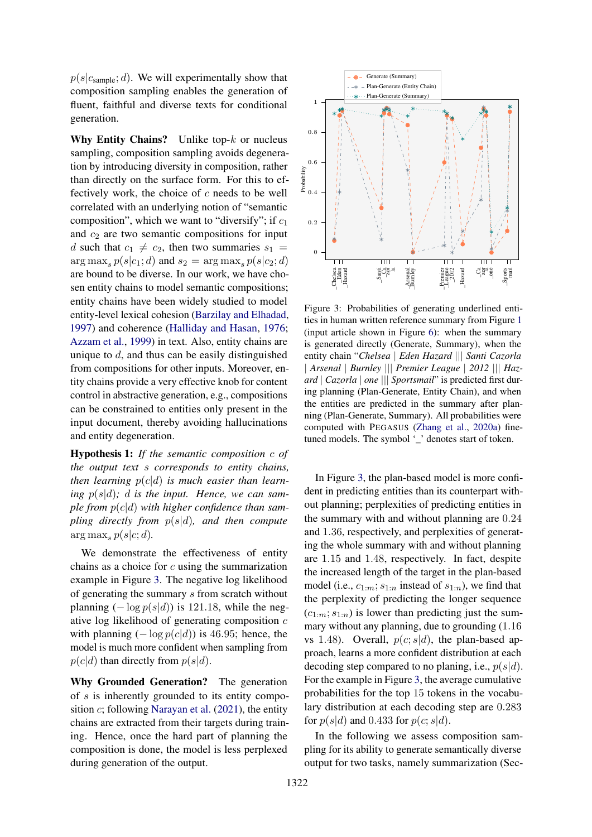$p(s|c_{\text{sample}}; d)$ . We will experimentally show that composition sampling enables the generation of fluent, faithful and diverse texts for conditional generation.

Why Entity Chains? Unlike top- $k$  or nucleus sampling, composition sampling avoids degeneration by introducing diversity in composition, rather than directly on the surface form. For this to effectively work, the choice of  $c$  needs to be well correlated with an underlying notion of "semantic composition", which we want to "diversify"; if  $c_1$ and  $c_2$  are two semantic compositions for input d such that  $c_1 \neq c_2$ , then two summaries  $s_1 =$ arg max<sub>s</sub>  $p(s|c_1;d)$  and  $s_2 = \arg \max_s p(s|c_2;d)$ are bound to be diverse. In our work, we have chosen entity chains to model semantic compositions; entity chains have been widely studied to model entity-level lexical cohesion [\(Barzilay and Elhadad,](#page-9-6) [1997\)](#page-9-6) and coherence [\(Halliday and Hasan,](#page-10-8) [1976;](#page-10-8) [Azzam et al.,](#page-9-7) [1999\)](#page-9-7) in text. Also, entity chains are unique to  $d$ , and thus can be easily distinguished from compositions for other inputs. Moreover, entity chains provide a very effective knob for content control in abstractive generation, e.g., compositions can be constrained to entities only present in the input document, thereby avoiding hallucinations and entity degeneration.

Hypothesis 1: *If the semantic composition* c *of the output text* s *corresponds to entity chains, then learning*  $p(c|d)$  *is much easier than learn*ing  $p(s|d)$ ; d is the input. Hence, we can sam $p$ le from  $p(c|d)$  with higher confidence than sam*pling directly from* p(s|d)*, and then compute* arg max<sub>s</sub>  $p(s|c; d)$ .

We demonstrate the effectiveness of entity chains as a choice for  $c$  using the summarization example in Figure [3.](#page-3-0) The negative log likelihood of generating the summary s from scratch without planning  $(-\log p(s|d))$  is 121.18, while the negative log likelihood of generating composition c with planning  $(-\log p(c|d))$  is 46.95; hence, the model is much more confident when sampling from  $p(c|d)$  than directly from  $p(s|d)$ .

Why Grounded Generation? The generation of  $s$  is inherently grounded to its entity composition c; following [Narayan et al.](#page-11-0) [\(2021\)](#page-11-0), the entity chains are extracted from their targets during training. Hence, once the hard part of planning the composition is done, the model is less perplexed during generation of the output.

<span id="page-3-0"></span>

Figure 3: Probabilities of generating underlined entities in human written reference summary from Figure [1](#page-1-0) (input article shown in Figure [6\)](#page-15-0): when the summary is generated directly (Generate, Summary), when the entity chain "*Chelsea* | *Eden Hazard* ||| *Santi Cazorla* | *Arsenal* | *Burnley* ||| *Premier League* | *2012* ||| *Hazard* | *Cazorla* | *one* ||| *Sportsmail*" is predicted first during planning (Plan-Generate, Entity Chain), and when the entities are predicted in the summary after planning (Plan-Generate, Summary). All probabilities were computed with PEGASUS [\(Zhang et al.,](#page-12-1) [2020a\)](#page-12-1) finetuned models. The symbol '\_' denotes start of token.

In Figure [3,](#page-3-0) the plan-based model is more confident in predicting entities than its counterpart without planning; perplexities of predicting entities in the summary with and without planning are 0.24 and 1.36, respectively, and perplexities of generating the whole summary with and without planning are 1.15 and 1.48, respectively. In fact, despite the increased length of the target in the plan-based model (i.e.,  $c_{1:m}$ ;  $s_{1:n}$  instead of  $s_{1:n}$ ), we find that the perplexity of predicting the longer sequence  $(c_{1:m}; s_{1:n})$  is lower than predicting just the summary without any planning, due to grounding (1.16 vs 1.48). Overall,  $p(c; s|d)$ , the plan-based approach, learns a more confident distribution at each decoding step compared to no planing, i.e.,  $p(s|d)$ . For the example in Figure [3,](#page-3-0) the average cumulative probabilities for the top 15 tokens in the vocabulary distribution at each decoding step are 0.283 for  $p(s|d)$  and 0.433 for  $p(c; s|d)$ .

In the following we assess composition sampling for its ability to generate semantically diverse output for two tasks, namely summarization (Sec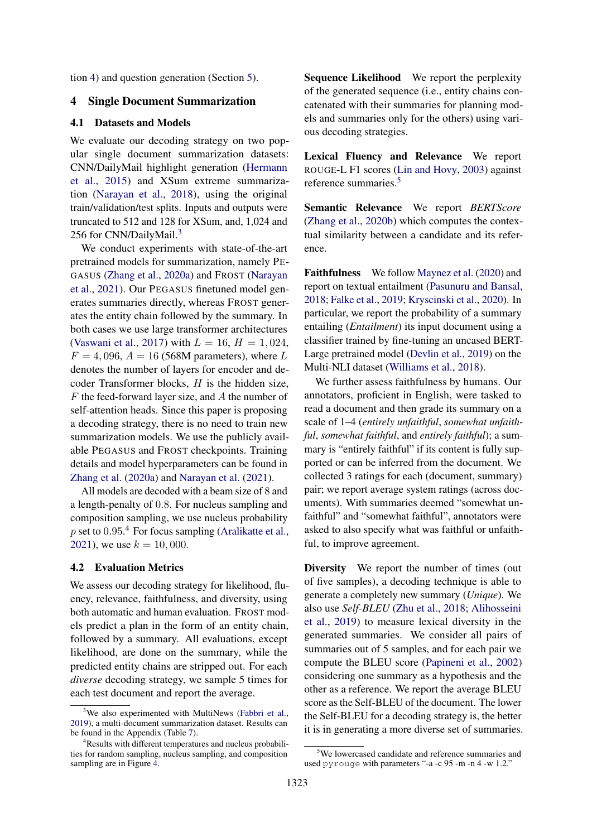tion [4\)](#page-4-0) and question generation (Section [5\)](#page-7-0).

## <span id="page-4-0"></span>4 Single Document Summarization

## 4.1 Datasets and Models

We evaluate our decoding strategy on two popular single document summarization datasets: CNN/DailyMail highlight generation [\(Hermann](#page-10-4) [et al.,](#page-10-4) [2015\)](#page-10-4) and XSum extreme summarization [\(Narayan et al.,](#page-11-10) [2018\)](#page-11-10), using the original train/validation/test splits. Inputs and outputs were truncated to 512 and 128 for XSum, and, 1,024 and 256 for CNN/DailyMail.<sup>[3](#page-4-1)</sup>

We conduct experiments with state-of-the-art pretrained models for summarization, namely PE-GASUS [\(Zhang et al.,](#page-12-1) [2020a\)](#page-12-1) and FROST [\(Narayan](#page-11-0) [et al.,](#page-11-0) [2021\)](#page-11-0). Our PEGASUS finetuned model generates summaries directly, whereas FROST generates the entity chain followed by the summary. In both cases we use large transformer architectures [\(Vaswani et al.,](#page-12-8) [2017\)](#page-12-8) with  $L = 16$ ,  $H = 1,024$ ,  $F = 4,096, A = 16$  (568M parameters), where L denotes the number of layers for encoder and decoder Transformer blocks, H is the hidden size,  $F$  the feed-forward layer size, and  $A$  the number of self-attention heads. Since this paper is proposing a decoding strategy, there is no need to train new summarization models. We use the publicly available PEGASUS and FROST checkpoints. Training details and model hyperparameters can be found in [Zhang et al.](#page-12-1) [\(2020a\)](#page-12-1) and [Narayan et al.](#page-11-0) [\(2021\)](#page-11-0).

All models are decoded with a beam size of 8 and a length-penalty of 0.8. For nucleus sampling and composition sampling, we use nucleus probability p set to  $0.95<sup>4</sup>$  $0.95<sup>4</sup>$  $0.95<sup>4</sup>$  For focus sampling [\(Aralikatte et al.,](#page-9-5) [2021\)](#page-9-5), we use  $k = 10,000$ .

### 4.2 Evaluation Metrics

We assess our decoding strategy for likelihood, fluency, relevance, faithfulness, and diversity, using both automatic and human evaluation. FROST models predict a plan in the form of an entity chain, followed by a summary. All evaluations, except likelihood, are done on the summary, while the predicted entity chains are stripped out. For each *diverse* decoding strategy, we sample 5 times for each test document and report the average.

Sequence Likelihood We report the perplexity of the generated sequence (i.e., entity chains concatenated with their summaries for planning models and summaries only for the others) using various decoding strategies.

Lexical Fluency and Relevance We report ROUGE-L F1 scores [\(Lin and Hovy,](#page-11-15) [2003\)](#page-11-15) against reference summaries.[5](#page-4-3)

Semantic Relevance We report *BERTScore* [\(Zhang et al.,](#page-12-6) [2020b\)](#page-12-6) which computes the contextual similarity between a candidate and its reference.

Faithfulness We follow [Maynez et al.](#page-11-5) [\(2020\)](#page-11-5) and report on textual entailment [\(Pasunuru and Bansal,](#page-11-16) [2018;](#page-11-16) [Falke et al.,](#page-10-10) [2019;](#page-10-10) [Kryscinski et al.,](#page-11-6) [2020\)](#page-11-6). In particular, we report the probability of a summary entailing (*Entailment*) its input document using a classifier trained by fine-tuning an uncased BERT-Large pretrained model [\(Devlin et al.,](#page-10-11) [2019\)](#page-10-11) on the Multi-NLI dataset [\(Williams et al.,](#page-12-11) [2018\)](#page-12-11).

We further assess faithfulness by humans. Our annotators, proficient in English, were tasked to read a document and then grade its summary on a scale of 1–4 (*entirely unfaithful*, *somewhat unfaithful*, *somewhat faithful*, and *entirely faithful*); a summary is "entirely faithful" if its content is fully supported or can be inferred from the document. We collected 3 ratings for each (document, summary) pair; we report average system ratings (across documents). With summaries deemed "somewhat unfaithful" and "somewhat faithful", annotators were asked to also specify what was faithful or unfaithful, to improve agreement.

Diversity We report the number of times (out) of five samples), a decoding technique is able to generate a completely new summary (*Unique*). We also use *Self-BLEU* [\(Zhu et al.,](#page-12-5) [2018;](#page-12-5) [Alihosseini](#page-9-1) [et al.,](#page-9-1) [2019\)](#page-9-1) to measure lexical diversity in the generated summaries. We consider all pairs of summaries out of 5 samples, and for each pair we compute the BLEU score [\(Papineni et al.,](#page-11-17) [2002\)](#page-11-17) considering one summary as a hypothesis and the other as a reference. We report the average BLEU score as the Self-BLEU of the document. The lower the Self-BLEU for a decoding strategy is, the better it is in generating a more diverse set of summaries.

<span id="page-4-1"></span><sup>&</sup>lt;sup>3</sup>We also experimented with MultiNews [\(Fabbri et al.,](#page-10-9) [2019\)](#page-10-9), a multi-document summarization dataset. Results can be found in the Appendix (Table [7\)](#page-13-0).

<span id="page-4-2"></span><sup>&</sup>lt;sup>4</sup>Results with different temperatures and nucleus probabilities for random sampling, nucleus sampling, and composition sampling are in Figure [4.](#page-8-0)

<span id="page-4-3"></span><sup>5</sup>We lowercased candidate and reference summaries and used pyrouge with parameters "-a -c 95 -m -n 4 -w 1.2."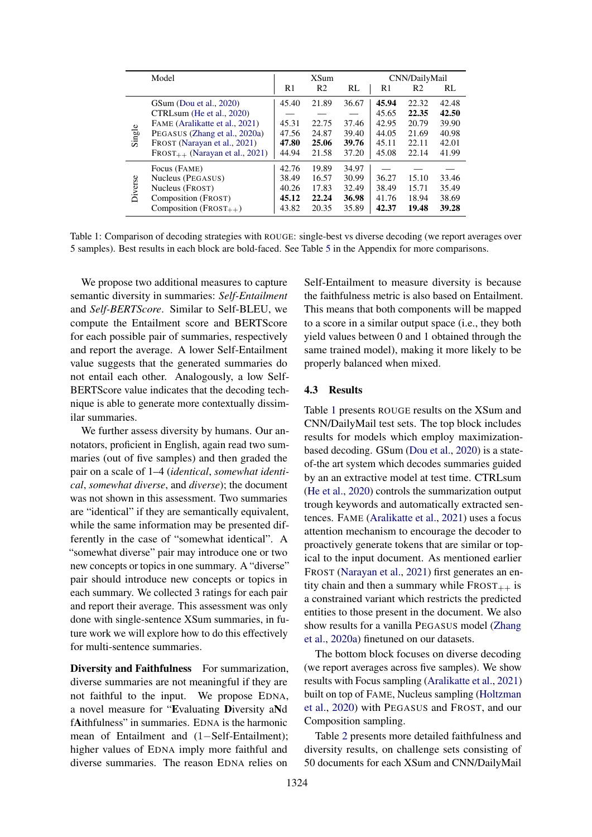<span id="page-5-0"></span>

|         | Model                               | <b>XSum</b> |                | CNN/DailyMail |                |                |       |
|---------|-------------------------------------|-------------|----------------|---------------|----------------|----------------|-------|
|         |                                     | R1          | R <sub>2</sub> | RL            | R <sub>1</sub> | R <sub>2</sub> | RL    |
|         | GSum (Dou et al., 2020)             | 45.40       | 21.89          | 36.67         | 45.94          | 22.32          | 42.48 |
|         | CTRLsum (He et al., 2020)           |             |                |               | 45.65          | 22.35          | 42.50 |
|         | FAME (Aralikatte et al., 2021)      | 45.31       | 22.75          | 37.46         | 42.95          | 20.79          | 39.90 |
| Single  | PEGASUS (Zhang et al., 2020a)       | 47.56       | 24.87          | 39.40         | 44.05          | 21.69          | 40.98 |
|         | FROST (Narayan et al., 2021)        | 47.80       | 25.06          | 39.76         | 45.11          | 22.11          | 42.01 |
|         | $FROST_{++}$ (Narayan et al., 2021) | 44.94       | 21.58          | 37.20         | 45.08          | 22.14          | 41.99 |
|         | Focus (FAME)                        | 42.76       | 19.89          | 34.97         |                |                |       |
|         | Nucleus (PEGASUS)                   | 38.49       | 16.57          | 30.99         | 36.27          | 15.10          | 33.46 |
| Diverse | Nucleus (FROST)                     | 40.26       | 17.83          | 32.49         | 38.49          | 15.71          | 35.49 |
|         | Composition (FROST)                 | 45.12       | 22.24          | 36.98         | 41.76          | 18.94          | 38.69 |
|         | Composition ( $FROST_{++}$ )        | 43.82       | 20.35          | 35.89         | 42.37          | 19.48          | 39.28 |

Table 1: Comparison of decoding strategies with ROUGE: single-best vs diverse decoding (we report averages over 5 samples). Best results in each block are bold-faced. See Table [5](#page-13-1) in the Appendix for more comparisons.

We propose two additional measures to capture semantic diversity in summaries: *Self-Entailment* and *Self-BERTScore*. Similar to Self-BLEU, we compute the Entailment score and BERTScore for each possible pair of summaries, respectively and report the average. A lower Self-Entailment value suggests that the generated summaries do not entail each other. Analogously, a low Self-BERTScore value indicates that the decoding technique is able to generate more contextually dissimilar summaries.

We further assess diversity by humans. Our annotators, proficient in English, again read two summaries (out of five samples) and then graded the pair on a scale of 1–4 (*identical*, *somewhat identical*, *somewhat diverse*, and *diverse*); the document was not shown in this assessment. Two summaries are "identical" if they are semantically equivalent, while the same information may be presented differently in the case of "somewhat identical". A "somewhat diverse" pair may introduce one or two new concepts or topics in one summary. A "diverse" pair should introduce new concepts or topics in each summary. We collected 3 ratings for each pair and report their average. This assessment was only done with single-sentence XSum summaries, in future work we will explore how to do this effectively for multi-sentence summaries.

Diversity and Faithfulness For summarization, diverse summaries are not meaningful if they are not faithful to the input. We propose EDNA, a novel measure for "Evaluating Diversity aNd fAithfulness" in summaries. EDNA is the harmonic mean of Entailment and (1−Self-Entailment); higher values of EDNA imply more faithful and diverse summaries. The reason EDNA relies on

Self-Entailment to measure diversity is because the faithfulness metric is also based on Entailment. This means that both components will be mapped to a score in a similar output space (i.e., they both yield values between 0 and 1 obtained through the same trained model), making it more likely to be properly balanced when mixed.

### 4.3 Results

Table [1](#page-5-0) presents ROUGE results on the XSum and CNN/DailyMail test sets. The top block includes results for models which employ maximizationbased decoding. GSum [\(Dou et al.,](#page-10-12) [2020\)](#page-10-12) is a stateof-the art system which decodes summaries guided by an an extractive model at test time. CTRLsum [\(He et al.,](#page-10-13) [2020\)](#page-10-13) controls the summarization output trough keywords and automatically extracted sentences. FAME [\(Aralikatte et al.,](#page-9-5) [2021\)](#page-9-5) uses a focus attention mechanism to encourage the decoder to proactively generate tokens that are similar or topical to the input document. As mentioned earlier FROST [\(Narayan et al.,](#page-11-0) [2021\)](#page-11-0) first generates an entity chain and then a summary while  $FROST_{++}$  is a constrained variant which restricts the predicted entities to those present in the document. We also show results for a vanilla PEGASUS model [\(Zhang](#page-12-1) [et al.,](#page-12-1) [2020a\)](#page-12-1) finetuned on our datasets.

The bottom block focuses on diverse decoding (we report averages across five samples). We show results with Focus sampling [\(Aralikatte et al.,](#page-9-5) [2021\)](#page-9-5) built on top of FAME, Nucleus sampling [\(Holtzman](#page-10-3) [et al.,](#page-10-3) [2020\)](#page-10-3) with PEGASUS and FROST, and our Composition sampling.

Table [2](#page-6-0) presents more detailed faithfulness and diversity results, on challenge sets consisting of 50 documents for each XSum and CNN/DailyMail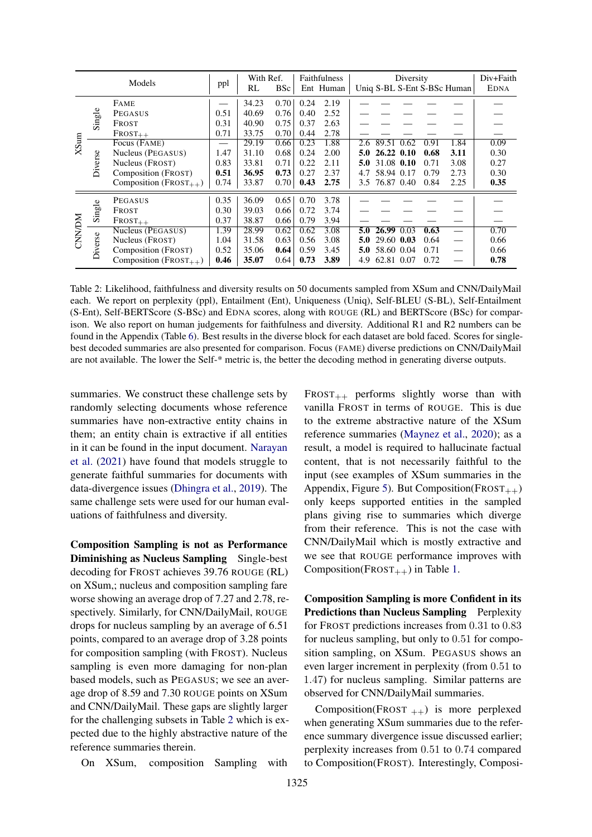<span id="page-6-0"></span>

|       |         | Models                       | ppl  | With Ref.<br>RL | <b>BSc</b> |      | Faithfulness<br>Ent Human |     |              | Diversity |      | Uniq S-BL S-Ent S-BSc Human | Div+Faith<br><b>EDNA</b> |
|-------|---------|------------------------------|------|-----------------|------------|------|---------------------------|-----|--------------|-----------|------|-----------------------------|--------------------------|
|       |         | <b>FAME</b>                  |      | 34.23           | 0.70       | 0.24 | 2.19                      |     |              |           |      |                             |                          |
|       | Single  | PEGASUS                      | 0.51 | 40.69           | 0.76       | 0.40 | 2.52                      |     |              |           |      |                             |                          |
|       |         | <b>FROST</b>                 | 0.31 | 40.90           | 0.75       | 0.37 | 2.63                      |     |              |           |      |                             |                          |
|       |         | $FROST_{++}$                 | 0.71 | 33.75           | 0.70       | 0.44 | 2.78                      |     |              |           |      |                             |                          |
| XSum  |         | Focus (FAME)                 |      | 29.19           | 0.66       | 0.23 | 1.88                      | 2.6 | $89.51$ 0.62 |           | 0.91 | 1.84                        | 0.09                     |
|       |         | Nucleus (PEGASUS)            | 1.47 | 31.10           | 0.68       | 0.24 | 2.00                      | 5.0 | 26.22 0.10   |           | 0.68 | 3.11                        | 0.30                     |
|       | Diverse | Nucleus (FROST)              | 0.83 | 33.81           | 0.71       | 0.22 | 2.11                      | 5.0 | 31.08 0.10   |           | 0.71 | 3.08                        | 0.27                     |
|       |         | Composition (FROST)          | 0.51 | 36.95           | 0.73       | 0.27 | 2.37                      |     | 58.94 0.17   |           | 0.79 | 2.73                        | 0.30                     |
|       |         | Composition ( $FROST_{++}$ ) | 0.74 | 33.87           | 0.70       | 0.43 | 2.75                      | 3.5 | 76.87 0.40   |           | 0.84 | 2.25                        | 0.35                     |
|       |         | PEGASUS                      | 0.35 | 36.09           | 0.65       | 0.70 | 3.78                      |     |              |           |      |                             |                          |
|       | Single  | FROST                        | 0.30 | 39.03           | 0.66       | 0.72 | 3.74                      |     |              |           |      |                             |                          |
| MONNC |         | $FROST_{++}$                 | 0.37 | 38.87           | 0.66       | 0.79 | 3.94                      |     |              |           |      |                             |                          |
|       |         | Nucleus (PEGASUS)            | 1.39 | 28.99           | 0.62       | 0.62 | 3.08                      | 5.0 | 26.99 0.03   |           | 0.63 |                             | 0.70                     |
|       |         | Nucleus (FROST)              | 1.04 | 31.58           | 0.63       | 0.56 | 3.08                      | 5.0 | 29.60 0.03   |           | 0.64 |                             | 0.66                     |
|       | Diverse | Composition (FROST)          | 0.52 | 35.06           | 0.64       | 0.59 | 3.45                      | 5.0 | 58.60 0.04   |           | 0.71 |                             | 0.66                     |
|       |         | Composition ( $FROST_{++}$ ) | 0.46 | 35.07           | 0.64       | 0.73 | 3.89                      | 4.9 | 62.81 0.07   |           | 0.72 |                             | 0.78                     |

Table 2: Likelihood, faithfulness and diversity results on 50 documents sampled from XSum and CNN/DailyMail each. We report on perplexity (ppl), Entailment (Ent), Uniqueness (Uniq), Self-BLEU (S-BL), Self-Entailment (S-Ent), Self-BERTScore (S-BSc) and EDNA scores, along with ROUGE (RL) and BERTScore (BSc) for comparison. We also report on human judgements for faithfulness and diversity. Additional R1 and R2 numbers can be found in the Appendix (Table [6\)](#page-13-2). Best results in the diverse block for each dataset are bold faced. Scores for singlebest decoded summaries are also presented for comparison. Focus (FAME) diverse predictions on CNN/DailyMail are not available. The lower the Self-\* metric is, the better the decoding method in generating diverse outputs.

summaries. We construct these challenge sets by randomly selecting documents whose reference summaries have non-extractive entity chains in them; an entity chain is extractive if all entities in it can be found in the input document. [Narayan](#page-11-0) [et al.](#page-11-0) [\(2021\)](#page-11-0) have found that models struggle to generate faithful summaries for documents with data-divergence issues [\(Dhingra et al.,](#page-10-14) [2019\)](#page-10-14). The same challenge sets were used for our human evaluations of faithfulness and diversity.

Composition Sampling is not as Performance Diminishing as Nucleus Sampling Single-best decoding for FROST achieves 39.76 ROUGE (RL) on XSum,; nucleus and composition sampling fare worse showing an average drop of 7.27 and 2.78, respectively. Similarly, for CNN/DailyMail, ROUGE drops for nucleus sampling by an average of 6.51 points, compared to an average drop of 3.28 points for composition sampling (with FROST). Nucleus sampling is even more damaging for non-plan based models, such as PEGASUS; we see an average drop of 8.59 and 7.30 ROUGE points on XSum and CNN/DailyMail. These gaps are slightly larger for the challenging subsets in Table [2](#page-6-0) which is expected due to the highly abstractive nature of the reference summaries therein.

On XSum, composition Sampling with

 $FROST_{++}$  performs slightly worse than with vanilla FROST in terms of ROUGE. This is due to the extreme abstractive nature of the XSum reference summaries [\(Maynez et al.,](#page-11-5) [2020\)](#page-11-5); as a result, a model is required to hallucinate factual content, that is not necessarily faithful to the input (see examples of XSum summaries in the Appendix, Figure [5\)](#page-14-0). But Composition( $FROST_{++}$ ) only keeps supported entities in the sampled plans giving rise to summaries which diverge from their reference. This is not the case with CNN/DailyMail which is mostly extractive and we see that ROUGE performance improves with Composition( $FROST_{++}$ ) in Table [1.](#page-5-0)

Composition Sampling is more Confident in its Predictions than Nucleus Sampling Perplexity for FROST predictions increases from 0.31 to 0.83 for nucleus sampling, but only to 0.51 for composition sampling, on XSum. PEGASUS shows an even larger increment in perplexity (from 0.51 to 1.47) for nucleus sampling. Similar patterns are observed for CNN/DailyMail summaries.

Composition(FROST  $_{++}$ ) is more perplexed when generating XSum summaries due to the reference summary divergence issue discussed earlier; perplexity increases from 0.51 to 0.74 compared to Composition(FROST). Interestingly, Composi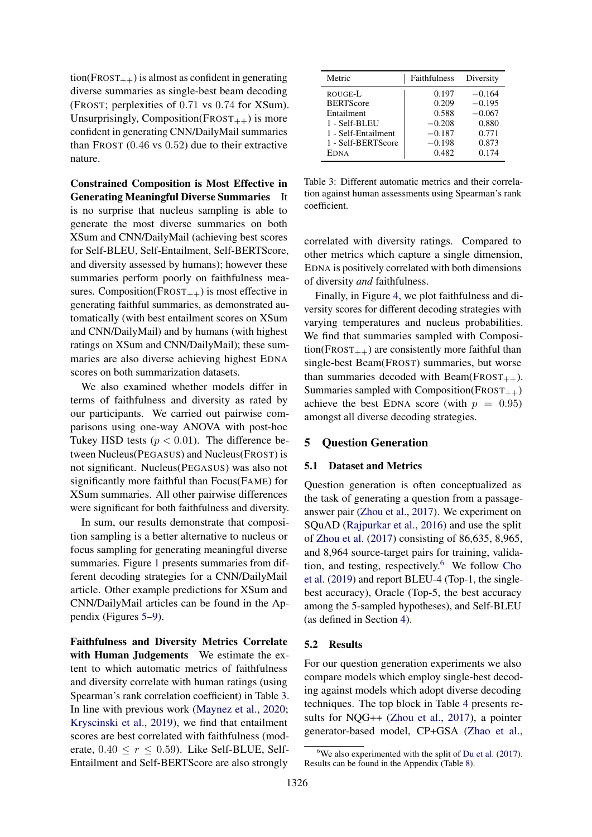$tion(FROST_{++})$  is almost as confident in generating diverse summaries as single-best beam decoding (FROST; perplexities of 0.71 vs 0.74 for XSum). Unsurprisingly, Composition( $FROST_{++}$ ) is more confident in generating CNN/DailyMail summaries than FROST (0.46 vs 0.52) due to their extractive nature.

Constrained Composition is Most Effective in Generating Meaningful Diverse Summaries It is no surprise that nucleus sampling is able to generate the most diverse summaries on both XSum and CNN/DailyMail (achieving best scores for Self-BLEU, Self-Entailment, Self-BERTScore, and diversity assessed by humans); however these summaries perform poorly on faithfulness measures. Composition( $FROST_{++}$ ) is most effective in generating faithful summaries, as demonstrated automatically (with best entailment scores on XSum and CNN/DailyMail) and by humans (with highest ratings on XSum and CNN/DailyMail); these summaries are also diverse achieving highest EDNA scores on both summarization datasets.

We also examined whether models differ in terms of faithfulness and diversity as rated by our participants. We carried out pairwise comparisons using one-way ANOVA with post-hoc Tukey HSD tests ( $p < 0.01$ ). The difference between Nucleus(PEGASUS) and Nucleus(FROST) is not significant. Nucleus(PEGASUS) was also not significantly more faithful than Focus(FAME) for XSum summaries. All other pairwise differences were significant for both faithfulness and diversity.

In sum, our results demonstrate that composition sampling is a better alternative to nucleus or focus sampling for generating meaningful diverse summaries. Figure [1](#page-1-0) presents summaries from different decoding strategies for a CNN/DailyMail article. Other example predictions for XSum and CNN/DailyMail articles can be found in the Appendix (Figures [5](#page-14-0)[–9\)](#page-18-0).

Faithfulness and Diversity Metrics Correlate with Human Judgements We estimate the extent to which automatic metrics of faithfulness and diversity correlate with human ratings (using Spearman's rank correlation coefficient) in Table [3.](#page-7-1) In line with previous work [\(Maynez et al.,](#page-11-5) [2020;](#page-11-5) [Kryscinski et al.,](#page-11-18) [2019\)](#page-11-18), we find that entailment scores are best correlated with faithfulness (moderate,  $0.40 \le r \le 0.59$ ). Like Self-BLUE, Self-Entailment and Self-BERTScore are also strongly

<span id="page-7-1"></span>

| Metric              | Faithfulness | Diversity |
|---------------------|--------------|-----------|
| ROUGE-L             | 0.197        | $-0.164$  |
| <b>BERTScore</b>    | 0.209        | $-0.195$  |
| Entailment          | 0.588        | $-0.067$  |
| 1 - Self-BLEU       | $-0.208$     | 0.880     |
| 1 - Self-Entailment | $-0.187$     | 0.771     |
| 1 - Self-BERTScore  | $-0.198$     | 0.873     |
| <b>EDNA</b>         | 0.482        | 0.174     |

Table 3: Different automatic metrics and their correlation against human assessments using Spearman's rank coefficient.

correlated with diversity ratings. Compared to other metrics which capture a single dimension, EDNA is positively correlated with both dimensions of diversity *and* faithfulness.

Finally, in Figure [4,](#page-8-0) we plot faithfulness and diversity scores for different decoding strategies with varying temperatures and nucleus probabilities. We find that summaries sampled with Composi $tion(FROST_{++})$  are consistently more faithful than single-best Beam(FROST) summaries, but worse than summaries decoded with Beam(FROST<sub>++</sub>). Summaries sampled with Composition( $FROST_{++}$ ) achieve the best EDNA score (with  $p = 0.95$ ) amongst all diverse decoding strategies.

## <span id="page-7-0"></span>5 Question Generation

### 5.1 Dataset and Metrics

Question generation is often conceptualized as the task of generating a question from a passageanswer pair [\(Zhou et al.,](#page-12-0) [2017\)](#page-12-0). We experiment on SQuAD [\(Rajpurkar et al.,](#page-11-11) [2016\)](#page-11-11) and use the split of [Zhou et al.](#page-12-0) [\(2017\)](#page-12-0) consisting of 86,635, 8,965, and 8,964 source-target pairs for training, validation, and testing, respectively. $6$  We follow [Cho](#page-9-8) [et al.](#page-9-8) [\(2019\)](#page-9-8) and report BLEU-4 (Top-1, the singlebest accuracy), Oracle (Top-5, the best accuracy among the 5-sampled hypotheses), and Self-BLEU (as defined in Section [4\)](#page-4-0).

### 5.2 Results

For our question generation experiments we also compare models which employ single-best decoding against models which adopt diverse decoding techniques. The top block in Table [4](#page-8-1) presents results for NQG++ [\(Zhou et al.,](#page-12-0) [2017\)](#page-12-0), a pointer generator-based model, CP+GSA [\(Zhao et al.,](#page-12-12)

<span id="page-7-2"></span><sup>&</sup>lt;sup>6</sup>We also experimented with the split of [Du et al.](#page-10-15)  $(2017)$ . Results can be found in the Appendix (Table [8\)](#page-13-3).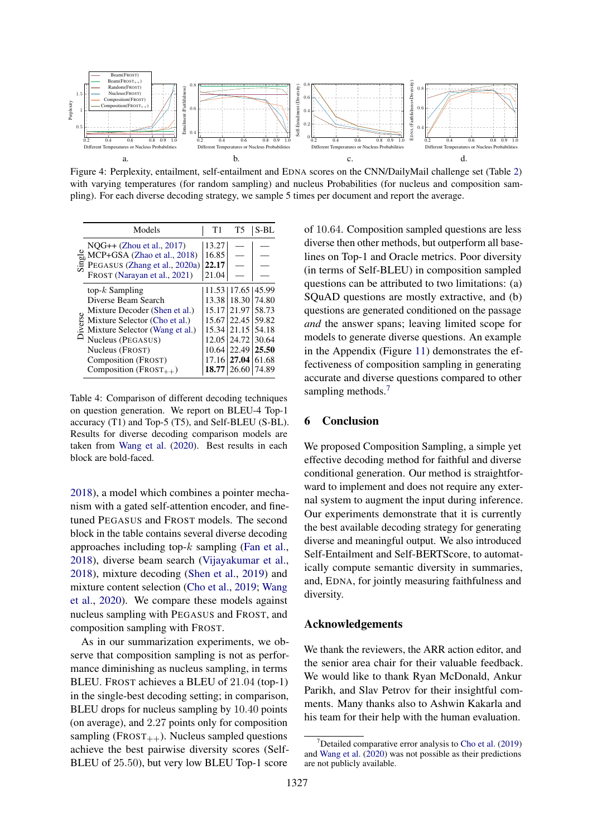<span id="page-8-0"></span>

Figure 4: Perplexity, entailment, self-entailment and EDNA scores on the CNN/DailyMail challenge set (Table [2\)](#page-6-0) with varying temperatures (for random sampling) and nucleus Probabilities (for nucleus and composition sampling). For each diverse decoding strategy, we sample 5 times per document and report the average.

<span id="page-8-1"></span>

|                | Models                         | T1    | <b>T5</b>         | $S-BL$ |
|----------------|--------------------------------|-------|-------------------|--------|
|                | NOG++ (Zhou et al., 2017)      | 13.27 |                   |        |
| $g$ le         | MCP+GSA (Zhao et al., 2018)    | 16.85 |                   |        |
| Sin            | PEGASUS (Zhang et al., 2020a)  | 22.17 |                   |        |
|                | FROST (Narayan et al., 2021)   | 21.04 |                   |        |
|                | top- $k$ Sampling              |       | 11.53 17.65 45.99 |        |
|                | Diverse Beam Search            | 13.38 | 18.30             | 74.80  |
|                | Mixture Decoder (Shen et al.)  | 15.17 | 21.97             | 58.73  |
|                | Mixture Selector (Cho et al.)  | 15.67 | 22.45             | 59.82  |
| <b>Diverse</b> | Mixture Selector (Wang et al.) | 15.34 | 21.15             | 54.18  |
|                | Nucleus (PEGASUS)              |       | 12.05   24.72     | 30.64  |
|                | Nucleus (FROST)                | 10.64 | 22.49             | 25.50  |
|                | Composition (FROST)            |       | 17.16 27.04       | 61.68  |
|                | Composition ( $FROST_{++}$ )   | 18.77 | 26.60             | 74.89  |

Table 4: Comparison of different decoding techniques on question generation. We report on BLEU-4 Top-1 accuracy (T1) and Top-5 (T5), and Self-BLEU (S-BL). Results for diverse decoding comparison models are taken from [Wang et al.](#page-12-14) [\(2020\)](#page-12-14). Best results in each block are bold-faced.

[2018\)](#page-12-12), a model which combines a pointer mechanism with a gated self-attention encoder, and finetuned PEGASUS and FROST models. The second block in the table contains several diverse decoding approaches including top-k sampling [\(Fan et al.,](#page-10-2) [2018\)](#page-10-2), diverse beam search [\(Vijayakumar et al.,](#page-12-15) [2018\)](#page-12-15), mixture decoding [\(Shen et al.,](#page-12-13) [2019\)](#page-12-13) and mixture content selection [\(Cho et al.,](#page-9-8) [2019;](#page-9-8) [Wang](#page-12-14) [et al.,](#page-12-14) [2020\)](#page-12-14). We compare these models against nucleus sampling with PEGASUS and FROST, and composition sampling with FROST.

As in our summarization experiments, we observe that composition sampling is not as performance diminishing as nucleus sampling, in terms BLEU. FROST achieves a BLEU of 21.04 (top-1) in the single-best decoding setting; in comparison, BLEU drops for nucleus sampling by 10.40 points (on average), and 2.27 points only for composition sampling ( $FROST_{++}$ ). Nucleus sampled questions achieve the best pairwise diversity scores (Self-BLEU of 25.50), but very low BLEU Top-1 score

of 10.64. Composition sampled questions are less diverse then other methods, but outperform all baselines on Top-1 and Oracle metrics. Poor diversity (in terms of Self-BLEU) in composition sampled questions can be attributed to two limitations: (a) SQuAD questions are mostly extractive, and (b) questions are generated conditioned on the passage *and* the answer spans; leaving limited scope for models to generate diverse questions. An example in the Appendix (Figure [11\)](#page-20-0) demonstrates the effectiveness of composition sampling in generating accurate and diverse questions compared to other sampling methods.<sup>[7](#page-8-2)</sup>

## 6 Conclusion

We proposed Composition Sampling, a simple yet effective decoding method for faithful and diverse conditional generation. Our method is straightforward to implement and does not require any external system to augment the input during inference. Our experiments demonstrate that it is currently the best available decoding strategy for generating diverse and meaningful output. We also introduced Self-Entailment and Self-BERTScore, to automatically compute semantic diversity in summaries, and, EDNA, for jointly measuring faithfulness and diversity.

## Acknowledgements

We thank the reviewers, the ARR action editor, and the senior area chair for their valuable feedback. We would like to thank Ryan McDonald, Ankur Parikh, and Slav Petrov for their insightful comments. Many thanks also to Ashwin Kakarla and his team for their help with the human evaluation.

<span id="page-8-2"></span> $7$ Detailed comparative error analysis to [Cho et al.](#page-9-8) [\(2019\)](#page-9-8) and [Wang et al.](#page-12-14) [\(2020\)](#page-12-14) was not possible as their predictions are not publicly available.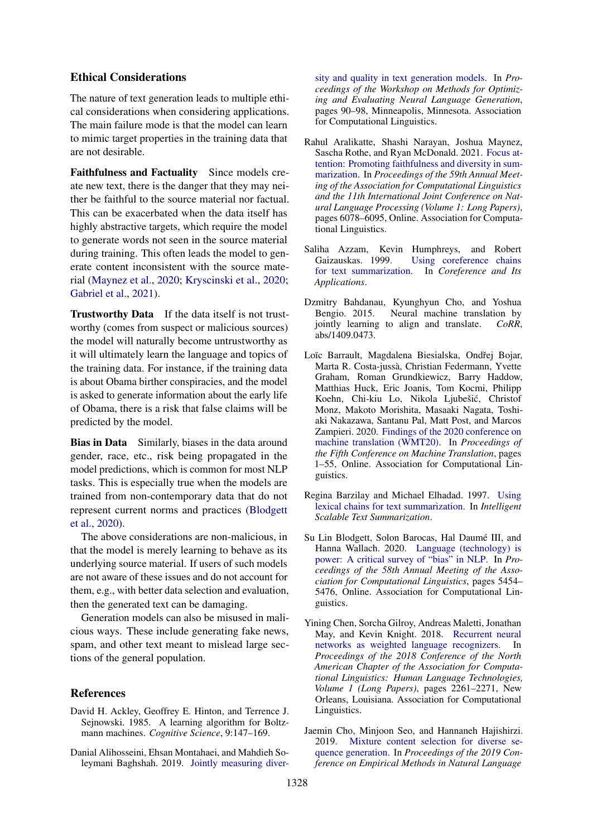## Ethical Considerations

The nature of text generation leads to multiple ethical considerations when considering applications. The main failure mode is that the model can learn to mimic target properties in the training data that are not desirable.

Faithfulness and Factuality Since models create new text, there is the danger that they may neither be faithful to the source material nor factual. This can be exacerbated when the data itself has highly abstractive targets, which require the model to generate words not seen in the source material during training. This often leads the model to generate content inconsistent with the source material [\(Maynez et al.,](#page-11-5) [2020;](#page-11-5) [Kryscinski et al.,](#page-11-6) [2020;](#page-11-6) [Gabriel et al.,](#page-10-16) [2021\)](#page-10-16).

Trustworthy Data If the data itself is not trustworthy (comes from suspect or malicious sources) the model will naturally become untrustworthy as it will ultimately learn the language and topics of the training data. For instance, if the training data is about Obama birther conspiracies, and the model is asked to generate information about the early life of Obama, there is a risk that false claims will be predicted by the model.

Bias in Data Similarly, biases in the data around gender, race, etc., risk being propagated in the model predictions, which is common for most NLP tasks. This is especially true when the models are trained from non-contemporary data that do not represent current norms and practices [\(Blodgett](#page-9-9) [et al.,](#page-9-9) [2020\)](#page-9-9).

The above considerations are non-malicious, in that the model is merely learning to behave as its underlying source material. If users of such models are not aware of these issues and do not account for them, e.g., with better data selection and evaluation, then the generated text can be damaging.

Generation models can also be misused in malicious ways. These include generating fake news, spam, and other text meant to mislead large sections of the general population.

### References

- <span id="page-9-4"></span>David H. Ackley, Geoffrey E. Hinton, and Terrence J. Sejnowski. 1985. A learning algorithm for Boltzmann machines. *Cognitive Science*, 9:147–169.
- <span id="page-9-1"></span>Danial Alihosseini, Ehsan Montahaei, and Mahdieh Soleymani Baghshah. 2019. [Jointly measuring diver-](https://doi.org/10.18653/v1/W19-2311)

[sity and quality in text generation models.](https://doi.org/10.18653/v1/W19-2311) In *Proceedings of the Workshop on Methods for Optimizing and Evaluating Neural Language Generation*, pages 90–98, Minneapolis, Minnesota. Association for Computational Linguistics.

- <span id="page-9-5"></span>Rahul Aralikatte, Shashi Narayan, Joshua Maynez, Sascha Rothe, and Ryan McDonald. 2021. [Focus at](https://doi.org/10.18653/v1/2021.acl-long.474)[tention: Promoting faithfulness and diversity in sum](https://doi.org/10.18653/v1/2021.acl-long.474)[marization.](https://doi.org/10.18653/v1/2021.acl-long.474) In *Proceedings of the 59th Annual Meeting of the Association for Computational Linguistics and the 11th International Joint Conference on Natural Language Processing (Volume 1: Long Papers)*, pages 6078–6095, Online. Association for Computational Linguistics.
- <span id="page-9-7"></span>Saliha Azzam, Kevin Humphreys, and Robert Gaizauskas. 1999. [Using coreference chains](https://aclanthology.org/W99-0211) [for text summarization.](https://aclanthology.org/W99-0211) In *Coreference and Its Applications*.
- <span id="page-9-2"></span>Dzmitry Bahdanau, Kyunghyun Cho, and Yoshua Bengio. 2015. Neural machine translation by jointly learning to align and translate. *CoRR*, abs/1409.0473.
- <span id="page-9-0"></span>Loïc Barrault, Magdalena Biesialska, Ondřej Bojar, Marta R. Costa-jussà, Christian Federmann, Yvette Graham, Roman Grundkiewicz, Barry Haddow, Matthias Huck, Eric Joanis, Tom Kocmi, Philipp Koehn, Chi-kiu Lo, Nikola Ljubešic, Christof ´ Monz, Makoto Morishita, Masaaki Nagata, Toshiaki Nakazawa, Santanu Pal, Matt Post, and Marcos Zampieri. 2020. [Findings of the 2020 conference on](https://aclanthology.org/2020.wmt-1.1) [machine translation \(WMT20\).](https://aclanthology.org/2020.wmt-1.1) In *Proceedings of the Fifth Conference on Machine Translation*, pages 1–55, Online. Association for Computational Linguistics.
- <span id="page-9-6"></span>Regina Barzilay and Michael Elhadad. 1997. [Using](https://aclanthology.org/W97-0703) [lexical chains for text summarization.](https://aclanthology.org/W97-0703) In *Intelligent Scalable Text Summarization*.
- <span id="page-9-9"></span>Su Lin Blodgett, Solon Barocas, Hal Daumé III, and Hanna Wallach. 2020. [Language \(technology\) is](https://doi.org/10.18653/v1/2020.acl-main.485) [power: A critical survey of "bias" in NLP.](https://doi.org/10.18653/v1/2020.acl-main.485) In *Proceedings of the 58th Annual Meeting of the Association for Computational Linguistics*, pages 5454– 5476, Online. Association for Computational Linguistics.
- <span id="page-9-3"></span>Yining Chen, Sorcha Gilroy, Andreas Maletti, Jonathan May, and Kevin Knight. 2018. [Recurrent neural](https://doi.org/10.18653/v1/N18-1205) [networks as weighted language recognizers.](https://doi.org/10.18653/v1/N18-1205) In *Proceedings of the 2018 Conference of the North American Chapter of the Association for Computational Linguistics: Human Language Technologies, Volume 1 (Long Papers)*, pages 2261–2271, New Orleans, Louisiana. Association for Computational Linguistics.
- <span id="page-9-8"></span>Jaemin Cho, Minjoon Seo, and Hannaneh Hajishirzi. 2019. [Mixture content selection for diverse se](https://doi.org/10.18653/v1/D19-1308)[quence generation.](https://doi.org/10.18653/v1/D19-1308) In *Proceedings of the 2019 Conference on Empirical Methods in Natural Language*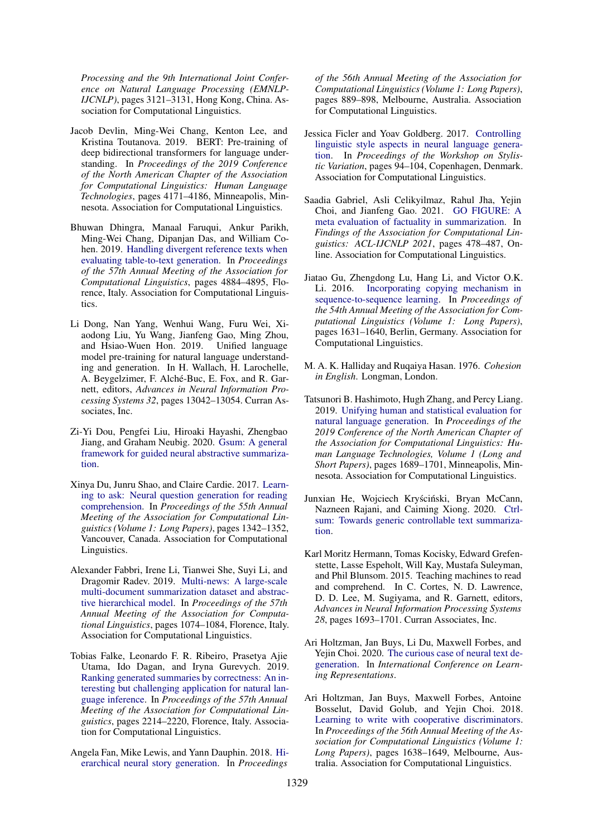*Processing and the 9th International Joint Conference on Natural Language Processing (EMNLP-IJCNLP)*, pages 3121–3131, Hong Kong, China. Association for Computational Linguistics.

- <span id="page-10-11"></span>Jacob Devlin, Ming-Wei Chang, Kenton Lee, and Kristina Toutanova. 2019. BERT: Pre-training of deep bidirectional transformers for language understanding. In *Proceedings of the 2019 Conference of the North American Chapter of the Association for Computational Linguistics: Human Language Technologies*, pages 4171–4186, Minneapolis, Minnesota. Association for Computational Linguistics.
- <span id="page-10-14"></span>Bhuwan Dhingra, Manaal Faruqui, Ankur Parikh, Ming-Wei Chang, Dipanjan Das, and William Cohen. 2019. [Handling divergent reference texts when](https://doi.org/10.18653/v1/P19-1483) [evaluating table-to-text generation.](https://doi.org/10.18653/v1/P19-1483) In *Proceedings of the 57th Annual Meeting of the Association for Computational Linguistics*, pages 4884–4895, Florence, Italy. Association for Computational Linguistics.
- <span id="page-10-0"></span>Li Dong, Nan Yang, Wenhui Wang, Furu Wei, Xiaodong Liu, Yu Wang, Jianfeng Gao, Ming Zhou, and Hsiao-Wuen Hon. 2019. Unified language model pre-training for natural language understanding and generation. In H. Wallach, H. Larochelle, A. Beygelzimer, F. Alché-Buc, E. Fox, and R. Garnett, editors, *Advances in Neural Information Processing Systems 32*, pages 13042–13054. Curran Associates, Inc.
- <span id="page-10-12"></span>Zi-Yi Dou, Pengfei Liu, Hiroaki Hayashi, Zhengbao Jiang, and Graham Neubig. 2020. [Gsum: A general](http://arxiv.org/abs/2010.08014) [framework for guided neural abstractive summariza](http://arxiv.org/abs/2010.08014)[tion.](http://arxiv.org/abs/2010.08014)
- <span id="page-10-15"></span>Xinya Du, Junru Shao, and Claire Cardie. 2017. [Learn](https://doi.org/10.18653/v1/P17-1123)[ing to ask: Neural question generation for reading](https://doi.org/10.18653/v1/P17-1123) [comprehension.](https://doi.org/10.18653/v1/P17-1123) In *Proceedings of the 55th Annual Meeting of the Association for Computational Linguistics (Volume 1: Long Papers)*, pages 1342–1352, Vancouver, Canada. Association for Computational Linguistics.
- <span id="page-10-9"></span>Alexander Fabbri, Irene Li, Tianwei She, Suyi Li, and Dragomir Radev. 2019. [Multi-news: A large-scale](https://doi.org/10.18653/v1/P19-1102) [multi-document summarization dataset and abstrac](https://doi.org/10.18653/v1/P19-1102)[tive hierarchical model.](https://doi.org/10.18653/v1/P19-1102) In *Proceedings of the 57th Annual Meeting of the Association for Computational Linguistics*, pages 1074–1084, Florence, Italy. Association for Computational Linguistics.
- <span id="page-10-10"></span>Tobias Falke, Leonardo F. R. Ribeiro, Prasetya Ajie Utama, Ido Dagan, and Iryna Gurevych. 2019. [Ranking generated summaries by correctness: An in](https://doi.org/10.18653/v1/P19-1213)[teresting but challenging application for natural lan](https://doi.org/10.18653/v1/P19-1213)[guage inference.](https://doi.org/10.18653/v1/P19-1213) In *Proceedings of the 57th Annual Meeting of the Association for Computational Linguistics*, pages 2214–2220, Florence, Italy. Association for Computational Linguistics.
- <span id="page-10-2"></span>Angela Fan, Mike Lewis, and Yann Dauphin. 2018. [Hi](https://doi.org/10.18653/v1/P18-1082)[erarchical neural story generation.](https://doi.org/10.18653/v1/P18-1082) In *Proceedings*

*of the 56th Annual Meeting of the Association for Computational Linguistics (Volume 1: Long Papers)*, pages 889–898, Melbourne, Australia. Association for Computational Linguistics.

- <span id="page-10-6"></span>Jessica Ficler and Yoav Goldberg. 2017. [Controlling](https://doi.org/10.18653/v1/W17-4912) [linguistic style aspects in neural language genera](https://doi.org/10.18653/v1/W17-4912)[tion.](https://doi.org/10.18653/v1/W17-4912) In *Proceedings of the Workshop on Stylistic Variation*, pages 94–104, Copenhagen, Denmark. Association for Computational Linguistics.
- <span id="page-10-16"></span>Saadia Gabriel, Asli Celikyilmaz, Rahul Jha, Yejin Choi, and Jianfeng Gao. 2021. [GO FIGURE: A](https://doi.org/10.18653/v1/2021.findings-acl.42) [meta evaluation of factuality in summarization.](https://doi.org/10.18653/v1/2021.findings-acl.42) In *Findings of the Association for Computational Linguistics: ACL-IJCNLP 2021*, pages 478–487, Online. Association for Computational Linguistics.
- <span id="page-10-5"></span>Jiatao Gu, Zhengdong Lu, Hang Li, and Victor O.K. Li. 2016. [Incorporating copying mechanism in](https://doi.org/10.18653/v1/P16-1154) [sequence-to-sequence learning.](https://doi.org/10.18653/v1/P16-1154) In *Proceedings of the 54th Annual Meeting of the Association for Computational Linguistics (Volume 1: Long Papers)*, pages 1631–1640, Berlin, Germany. Association for Computational Linguistics.
- <span id="page-10-8"></span>M. A. K. Halliday and Ruqaiya Hasan. 1976. *Cohesion in English*. Longman, London.
- <span id="page-10-1"></span>Tatsunori B. Hashimoto, Hugh Zhang, and Percy Liang. 2019. [Unifying human and statistical evaluation for](https://doi.org/10.18653/v1/N19-1169) [natural language generation.](https://doi.org/10.18653/v1/N19-1169) In *Proceedings of the 2019 Conference of the North American Chapter of the Association for Computational Linguistics: Human Language Technologies, Volume 1 (Long and Short Papers)*, pages 1689–1701, Minneapolis, Minnesota. Association for Computational Linguistics.
- <span id="page-10-13"></span>Junxian He, Wojciech Kryściński, Bryan McCann, Nazneen Rajani, and Caiming Xiong. 2020. [Ctrl](http://arxiv.org/abs/2012.04281)[sum: Towards generic controllable text summariza](http://arxiv.org/abs/2012.04281)[tion.](http://arxiv.org/abs/2012.04281)
- <span id="page-10-4"></span>Karl Moritz Hermann, Tomas Kocisky, Edward Grefenstette, Lasse Espeholt, Will Kay, Mustafa Suleyman, and Phil Blunsom. 2015. Teaching machines to read and comprehend. In C. Cortes, N. D. Lawrence, D. D. Lee, M. Sugiyama, and R. Garnett, editors, *Advances in Neural Information Processing Systems 28*, pages 1693–1701. Curran Associates, Inc.
- <span id="page-10-3"></span>Ari Holtzman, Jan Buys, Li Du, Maxwell Forbes, and Yejin Choi. 2020. [The curious case of neural text de](https://openreview.net/forum?id=rygGQyrFvH)[generation.](https://openreview.net/forum?id=rygGQyrFvH) In *International Conference on Learning Representations*.
- <span id="page-10-7"></span>Ari Holtzman, Jan Buys, Maxwell Forbes, Antoine Bosselut, David Golub, and Yejin Choi. 2018. [Learning to write with cooperative discriminators.](https://doi.org/10.18653/v1/P18-1152) In *Proceedings of the 56th Annual Meeting of the Association for Computational Linguistics (Volume 1: Long Papers)*, pages 1638–1649, Melbourne, Australia. Association for Computational Linguistics.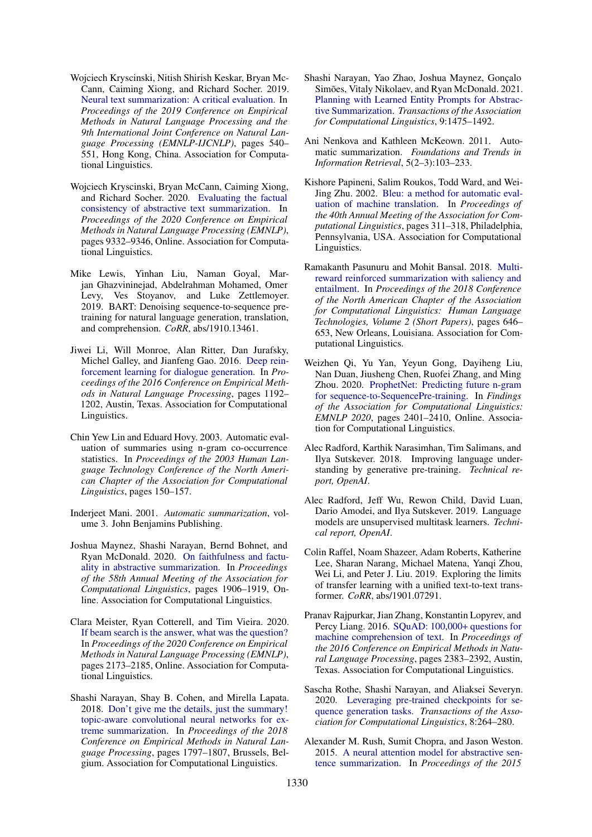- <span id="page-11-18"></span>Wojciech Kryscinski, Nitish Shirish Keskar, Bryan Mc-Cann, Caiming Xiong, and Richard Socher. 2019. [Neural text summarization: A critical evaluation.](https://doi.org/10.18653/v1/D19-1051) In *Proceedings of the 2019 Conference on Empirical Methods in Natural Language Processing and the 9th International Joint Conference on Natural Language Processing (EMNLP-IJCNLP)*, pages 540– 551, Hong Kong, China. Association for Computational Linguistics.
- <span id="page-11-6"></span>Wojciech Kryscinski, Bryan McCann, Caiming Xiong, and Richard Socher. 2020. [Evaluating the factual](https://doi.org/10.18653/v1/2020.emnlp-main.750) [consistency of abstractive text summarization.](https://doi.org/10.18653/v1/2020.emnlp-main.750) In *Proceedings of the 2020 Conference on Empirical Methods in Natural Language Processing (EMNLP)*, pages 9332–9346, Online. Association for Computational Linguistics.
- <span id="page-11-4"></span>Mike Lewis, Yinhan Liu, Naman Goyal, Marjan Ghazvininejad, Abdelrahman Mohamed, Omer Levy, Ves Stoyanov, and Luke Zettlemoyer. 2019. BART: Denoising sequence-to-sequence pretraining for natural language generation, translation, and comprehension. *CoRR*, abs/1910.13461.
- <span id="page-11-7"></span>Jiwei Li, Will Monroe, Alan Ritter, Dan Jurafsky, Michel Galley, and Jianfeng Gao. 2016. [Deep rein](https://doi.org/10.18653/v1/D16-1127)[forcement learning for dialogue generation.](https://doi.org/10.18653/v1/D16-1127) In *Proceedings of the 2016 Conference on Empirical Methods in Natural Language Processing*, pages 1192– 1202, Austin, Texas. Association for Computational Linguistics.
- <span id="page-11-15"></span>Chin Yew Lin and Eduard Hovy. 2003. Automatic evaluation of summaries using n-gram co-occurrence statistics. In *Proceedings of the 2003 Human Language Technology Conference of the North American Chapter of the Association for Computational Linguistics*, pages 150–157.
- <span id="page-11-1"></span>Inderjeet Mani. 2001. *Automatic summarization*, volume 3. John Benjamins Publishing.
- <span id="page-11-5"></span>Joshua Maynez, Shashi Narayan, Bernd Bohnet, and Ryan McDonald. 2020. [On faithfulness and factu](https://doi.org/10.18653/v1/2020.acl-main.173)[ality in abstractive summarization.](https://doi.org/10.18653/v1/2020.acl-main.173) In *Proceedings of the 58th Annual Meeting of the Association for Computational Linguistics*, pages 1906–1919, Online. Association for Computational Linguistics.
- <span id="page-11-9"></span>Clara Meister, Ryan Cotterell, and Tim Vieira. 2020. [If beam search is the answer, what was the question?](https://doi.org/10.18653/v1/2020.emnlp-main.170) In *Proceedings of the 2020 Conference on Empirical Methods in Natural Language Processing (EMNLP)*, pages 2173–2185, Online. Association for Computational Linguistics.
- <span id="page-11-10"></span>Shashi Narayan, Shay B. Cohen, and Mirella Lapata. 2018. [Don't give me the details, just the summary!](https://doi.org/10.18653/v1/D18-1206) [topic-aware convolutional neural networks for ex](https://doi.org/10.18653/v1/D18-1206)[treme summarization.](https://doi.org/10.18653/v1/D18-1206) In *Proceedings of the 2018 Conference on Empirical Methods in Natural Language Processing*, pages 1797–1807, Brussels, Belgium. Association for Computational Linguistics.
- <span id="page-11-0"></span>Shashi Narayan, Yao Zhao, Joshua Maynez, Gonçalo Simões, Vitaly Nikolaev, and Ryan McDonald. 2021. [Planning with Learned Entity Prompts for Abstrac](https://doi.org/10.1162/tacl_a_00438)[tive Summarization.](https://doi.org/10.1162/tacl_a_00438) *Transactions of the Association for Computational Linguistics*, 9:1475–1492.
- <span id="page-11-2"></span>Ani Nenkova and Kathleen McKeown. 2011. Automatic summarization. *Foundations and Trends in Information Retrieval*, 5(2–3):103–233.
- <span id="page-11-17"></span>Kishore Papineni, Salim Roukos, Todd Ward, and Wei-Jing Zhu. 2002. [Bleu: a method for automatic eval](https://doi.org/10.3115/1073083.1073135)[uation of machine translation.](https://doi.org/10.3115/1073083.1073135) In *Proceedings of the 40th Annual Meeting of the Association for Computational Linguistics*, pages 311–318, Philadelphia, Pennsylvania, USA. Association for Computational Linguistics.
- <span id="page-11-16"></span>Ramakanth Pasunuru and Mohit Bansal. 2018. [Multi](https://doi.org/10.18653/v1/N18-2102)[reward reinforced summarization with saliency and](https://doi.org/10.18653/v1/N18-2102) [entailment.](https://doi.org/10.18653/v1/N18-2102) In *Proceedings of the 2018 Conference of the North American Chapter of the Association for Computational Linguistics: Human Language Technologies, Volume 2 (Short Papers)*, pages 646– 653, New Orleans, Louisiana. Association for Computational Linguistics.
- <span id="page-11-19"></span>Weizhen Qi, Yu Yan, Yeyun Gong, Dayiheng Liu, Nan Duan, Jiusheng Chen, Ruofei Zhang, and Ming Zhou. 2020. [ProphetNet: Predicting future n-gram](https://doi.org/10.18653/v1/2020.findings-emnlp.217) [for sequence-to-SequencePre-training.](https://doi.org/10.18653/v1/2020.findings-emnlp.217) In *Findings of the Association for Computational Linguistics: EMNLP 2020*, pages 2401–2410, Online. Association for Computational Linguistics.
- <span id="page-11-12"></span>Alec Radford, Karthik Narasimhan, Tim Salimans, and Ilya Sutskever. 2018. Improving language understanding by generative pre-training. *Technical report, OpenAI*.
- <span id="page-11-14"></span>Alec Radford, Jeff Wu, Rewon Child, David Luan, Dario Amodei, and Ilya Sutskever. 2019. Language models are unsupervised multitask learners. *Technical report, OpenAI*.
- <span id="page-11-3"></span>Colin Raffel, Noam Shazeer, Adam Roberts, Katherine Lee, Sharan Narang, Michael Matena, Yanqi Zhou, Wei Li, and Peter J. Liu. 2019. Exploring the limits of transfer learning with a unified text-to-text transformer. *CoRR*, abs/1901.07291.
- <span id="page-11-11"></span>Pranav Rajpurkar, Jian Zhang, Konstantin Lopyrev, and Percy Liang. 2016. [SQuAD: 100,000+ questions for](https://doi.org/10.18653/v1/D16-1264) [machine comprehension of text.](https://doi.org/10.18653/v1/D16-1264) In *Proceedings of the 2016 Conference on Empirical Methods in Natural Language Processing*, pages 2383–2392, Austin, Texas. Association for Computational Linguistics.
- <span id="page-11-13"></span>Sascha Rothe, Shashi Narayan, and Aliaksei Severyn. 2020. [Leveraging pre-trained checkpoints for se](https://doi.org/10.1162/tacl_a_00313)[quence generation tasks.](https://doi.org/10.1162/tacl_a_00313) *Transactions of the Association for Computational Linguistics*, 8:264–280.
- <span id="page-11-8"></span>Alexander M. Rush, Sumit Chopra, and Jason Weston. 2015. [A neural attention model for abstractive sen](https://doi.org/10.18653/v1/D15-1044)[tence summarization.](https://doi.org/10.18653/v1/D15-1044) In *Proceedings of the 2015*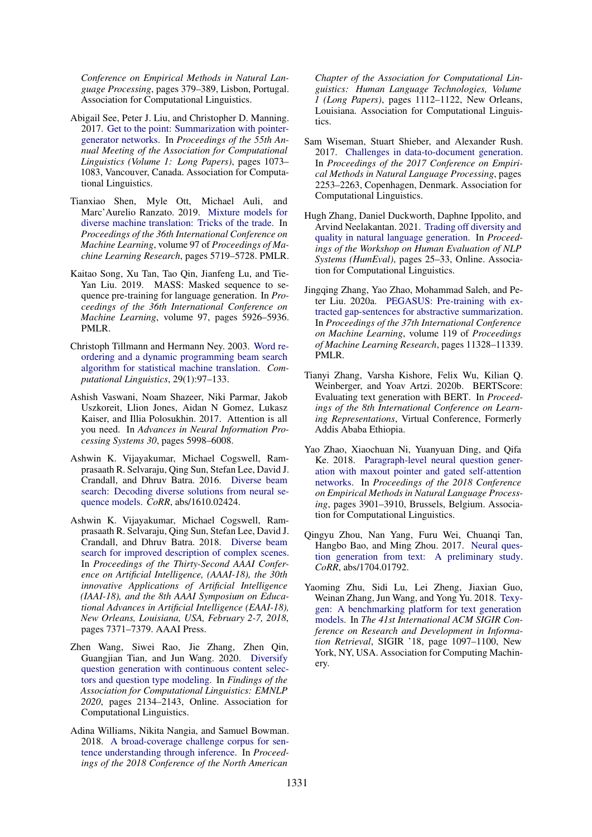*Conference on Empirical Methods in Natural Language Processing*, pages 379–389, Lisbon, Portugal. Association for Computational Linguistics.

- <span id="page-12-7"></span>Abigail See, Peter J. Liu, and Christopher D. Manning. 2017. [Get to the point: Summarization with pointer](https://doi.org/10.18653/v1/P17-1099)[generator networks.](https://doi.org/10.18653/v1/P17-1099) In *Proceedings of the 55th Annual Meeting of the Association for Computational Linguistics (Volume 1: Long Papers)*, pages 1073– 1083, Vancouver, Canada. Association for Computational Linguistics.
- <span id="page-12-13"></span>Tianxiao Shen, Myle Ott, Michael Auli, and Marc'Aurelio Ranzato. 2019. [Mixture models for](https://proceedings.mlr.press/v97/shen19c.html) [diverse machine translation: Tricks of the trade.](https://proceedings.mlr.press/v97/shen19c.html) In *Proceedings of the 36th International Conference on Machine Learning*, volume 97 of *Proceedings of Machine Learning Research*, pages 5719–5728. PMLR.
- <span id="page-12-9"></span>Kaitao Song, Xu Tan, Tao Qin, Jianfeng Lu, and Tie-Yan Liu. 2019. MASS: Masked sequence to sequence pre-training for language generation. In *Proceedings of the 36th International Conference on Machine Learning*, volume 97, pages 5926–5936. PMLR.
- <span id="page-12-10"></span>Christoph Tillmann and Hermann Ney. 2003. [Word re](https://doi.org/10.1162/089120103321337458)[ordering and a dynamic programming beam search](https://doi.org/10.1162/089120103321337458) [algorithm for statistical machine translation.](https://doi.org/10.1162/089120103321337458) *Computational Linguistics*, 29(1):97–133.
- <span id="page-12-8"></span>Ashish Vaswani, Noam Shazeer, Niki Parmar, Jakob Uszkoreit, Llion Jones, Aidan N Gomez, Lukasz Kaiser, and Illia Polosukhin. 2017. Attention is all you need. In *Advances in Neural Information Processing Systems 30*, pages 5998–6008.
- <span id="page-12-4"></span>Ashwin K. Vijayakumar, Michael Cogswell, Ramprasaath R. Selvaraju, Qing Sun, Stefan Lee, David J. Crandall, and Dhruv Batra. 2016. [Diverse beam](http://arxiv.org/abs/1610.02424) [search: Decoding diverse solutions from neural se](http://arxiv.org/abs/1610.02424)[quence models.](http://arxiv.org/abs/1610.02424) *CoRR*, abs/1610.02424.
- <span id="page-12-15"></span>Ashwin K. Vijayakumar, Michael Cogswell, Ramprasaath R. Selvaraju, Qing Sun, Stefan Lee, David J. Crandall, and Dhruv Batra. 2018. [Diverse beam](https://www.aaai.org/ocs/index.php/AAAI/AAAI18/paper/view/17329) [search for improved description of complex scenes.](https://www.aaai.org/ocs/index.php/AAAI/AAAI18/paper/view/17329) In *Proceedings of the Thirty-Second AAAI Conference on Artificial Intelligence, (AAAI-18), the 30th innovative Applications of Artificial Intelligence (IAAI-18), and the 8th AAAI Symposium on Educational Advances in Artificial Intelligence (EAAI-18), New Orleans, Louisiana, USA, February 2-7, 2018*, pages 7371–7379. AAAI Press.
- <span id="page-12-14"></span>Zhen Wang, Siwei Rao, Jie Zhang, Zhen Qin, Guangjian Tian, and Jun Wang. 2020. [Diversify](https://doi.org/10.18653/v1/2020.findings-emnlp.194) [question generation with continuous content selec](https://doi.org/10.18653/v1/2020.findings-emnlp.194)[tors and question type modeling.](https://doi.org/10.18653/v1/2020.findings-emnlp.194) In *Findings of the Association for Computational Linguistics: EMNLP 2020*, pages 2134–2143, Online. Association for Computational Linguistics.
- <span id="page-12-11"></span>Adina Williams, Nikita Nangia, and Samuel Bowman. 2018. [A broad-coverage challenge corpus for sen](https://doi.org/10.18653/v1/N18-1101)[tence understanding through inference.](https://doi.org/10.18653/v1/N18-1101) In *Proceedings of the 2018 Conference of the North American*

*Chapter of the Association for Computational Linguistics: Human Language Technologies, Volume 1 (Long Papers)*, pages 1112–1122, New Orleans, Louisiana. Association for Computational Linguistics.

- <span id="page-12-3"></span>Sam Wiseman, Stuart Shieber, and Alexander Rush. 2017. [Challenges in data-to-document generation.](https://doi.org/10.18653/v1/D17-1239) In *Proceedings of the 2017 Conference on Empirical Methods in Natural Language Processing*, pages 2253–2263, Copenhagen, Denmark. Association for Computational Linguistics.
- <span id="page-12-2"></span>Hugh Zhang, Daniel Duckworth, Daphne Ippolito, and Arvind Neelakantan. 2021. [Trading off diversity and](https://aclanthology.org/2021.humeval-1.3) [quality in natural language generation.](https://aclanthology.org/2021.humeval-1.3) In *Proceedings of the Workshop on Human Evaluation of NLP Systems (HumEval)*, pages 25–33, Online. Association for Computational Linguistics.
- <span id="page-12-1"></span>Jingqing Zhang, Yao Zhao, Mohammad Saleh, and Peter Liu. 2020a. [PEGASUS: Pre-training with ex](https://proceedings.mlr.press/v119/zhang20ae.html)[tracted gap-sentences for abstractive summarization.](https://proceedings.mlr.press/v119/zhang20ae.html) In *Proceedings of the 37th International Conference on Machine Learning*, volume 119 of *Proceedings of Machine Learning Research*, pages 11328–11339. PMLR.
- <span id="page-12-6"></span>Tianyi Zhang, Varsha Kishore, Felix Wu, Kilian Q. Weinberger, and Yoav Artzi. 2020b. BERTScore: Evaluating text generation with BERT. In *Proceedings of the 8th International Conference on Learning Representations*, Virtual Conference, Formerly Addis Ababa Ethiopia.
- <span id="page-12-12"></span>Yao Zhao, Xiaochuan Ni, Yuanyuan Ding, and Qifa Ke. 2018. [Paragraph-level neural question gener](https://doi.org/10.18653/v1/D18-1424)[ation with maxout pointer and gated self-attention](https://doi.org/10.18653/v1/D18-1424) [networks.](https://doi.org/10.18653/v1/D18-1424) In *Proceedings of the 2018 Conference on Empirical Methods in Natural Language Processing*, pages 3901–3910, Brussels, Belgium. Association for Computational Linguistics.
- <span id="page-12-0"></span>Qingyu Zhou, Nan Yang, Furu Wei, Chuanqi Tan, Hangbo Bao, and Ming Zhou. 2017. [Neural ques](http://arxiv.org/abs/1704.01792)[tion generation from text: A preliminary study.](http://arxiv.org/abs/1704.01792) *CoRR*, abs/1704.01792.
- <span id="page-12-5"></span>Yaoming Zhu, Sidi Lu, Lei Zheng, Jiaxian Guo, Weinan Zhang, Jun Wang, and Yong Yu. 2018. [Texy](https://doi.org/10.1145/3209978.3210080)[gen: A benchmarking platform for text generation](https://doi.org/10.1145/3209978.3210080) [models.](https://doi.org/10.1145/3209978.3210080) In *The 41st International ACM SIGIR Conference on Research and Development in Information Retrieval*, SIGIR '18, page 1097–1100, New York, NY, USA. Association for Computing Machinery.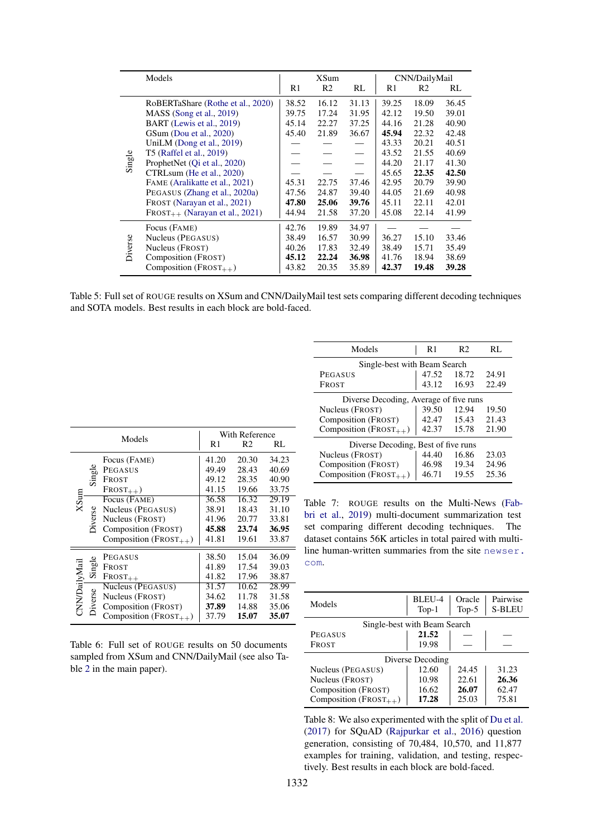<span id="page-13-1"></span>

|         | Models                              | XSum  |                |       | CNN/DailyMail |       |       |
|---------|-------------------------------------|-------|----------------|-------|---------------|-------|-------|
|         |                                     | R1    | R <sub>2</sub> | RL    | R1            | R2    | RL    |
|         | RoBERTaShare (Rothe et al., 2020)   | 38.52 | 16.12          | 31.13 | 39.25         | 18.09 | 36.45 |
|         | $MASS$ (Song et al., 2019)          | 39.75 | 17.24          | 31.95 | 42.12         | 19.50 | 39.01 |
|         | BART (Lewis et al., 2019)           | 45.14 | 22.27          | 37.25 | 44.16         | 21.28 | 40.90 |
|         | GSum (Dou et al., 2020)             | 45.40 | 21.89          | 36.67 | 45.94         | 22.32 | 42.48 |
|         | UniLM (Dong et al., 2019)           |       |                |       | 43.33         | 20.21 | 40.51 |
|         | T5 (Raffel et al., 2019)            |       |                |       | 43.52         | 21.55 | 40.69 |
| Single  | ProphetNet (Qi et al., 2020)        |       |                |       | 44.20         | 21.17 | 41.30 |
|         | CTRLsum (He et al., 2020)           |       |                |       | 45.65         | 22.35 | 42.50 |
|         | FAME (Aralikatte et al., 2021)      | 45.31 | 22.75          | 37.46 | 42.95         | 20.79 | 39.90 |
|         | PEGASUS (Zhang et al., 2020a)       | 47.56 | 24.87          | 39.40 | 44.05         | 21.69 | 40.98 |
|         | FROST (Narayan et al., 2021)        | 47.80 | 25.06          | 39.76 | 45.11         | 22.11 | 42.01 |
|         | $FROST_{++}$ (Narayan et al., 2021) | 44.94 | 21.58          | 37.20 | 45.08         | 22.14 | 41.99 |
|         | Focus (FAME)                        | 42.76 | 19.89          | 34.97 |               |       |       |
|         | Nucleus (PEGASUS)                   | 38.49 | 16.57          | 30.99 | 36.27         | 15.10 | 33.46 |
| Diverse | Nucleus (FROST)                     | 40.26 | 17.83          | 32.49 | 38.49         | 15.71 | 35.49 |
|         | Composition (FROST)                 | 45.12 | 22.24          | 36.98 | 41.76         | 18.94 | 38.69 |
|         | Composition ( $FROST_{++}$ )        | 43.82 | 20.35          | 35.89 | 42.37         | 19.48 | 39.28 |

Table 5: Full set of ROUGE results on XSum and CNN/DailyMail test sets comparing different decoding techniques and SOTA models. Best results in each block are bold-faced.

<span id="page-13-2"></span>

|                | Models                       |       | With Reference |       |  |  |  |
|----------------|------------------------------|-------|----------------|-------|--|--|--|
|                |                              | R1    | R <sub>2</sub> | RL    |  |  |  |
|                | Focus (FAME)                 | 41.20 | 20.30          | 34.23 |  |  |  |
| Single         | PEGASUS                      | 49.49 | 28.43          | 40.69 |  |  |  |
|                | <b>FROST</b>                 | 49.12 | 28.35          | 40.90 |  |  |  |
|                | $FROST_{++}$ )               | 41.15 | 19.66          | 33.75 |  |  |  |
| Sum            | Focus (FAME)                 | 36.58 | 16.32          | 29.19 |  |  |  |
|                | Nucleus (PEGASUS)            | 38.91 | 18.43          | 31.10 |  |  |  |
| <b>Diverse</b> | Nucleus (FROST)              | 41.96 | 20.77          | 33.81 |  |  |  |
|                | Composition (FROST)          | 45.88 | 23.74          | 36.95 |  |  |  |
|                | Composition ( $FROST_{++}$ ) | 41.81 | 19.61          | 33.87 |  |  |  |
|                | <b>PEGASUS</b>               | 38.50 | 15.04          | 36.09 |  |  |  |
| Single         | FROST                        | 41.89 | 17.54          | 39.03 |  |  |  |
| NN/DailyMai    | $FROST_{++}$                 | 41.82 | 17.96          | 38.87 |  |  |  |
|                | Nucleus (PEGASUS)            | 31.57 | 10.62          | 28.99 |  |  |  |
|                | Nucleus (FROST)              | 34.62 | 11.78          | 31.58 |  |  |  |
| <b>Diverse</b> | Composition (FROST)          | 37.89 | 14.88          | 35.06 |  |  |  |
|                | Composition ( $FROST_{++}$ ) | 37.79 | 15.07          | 35.07 |  |  |  |

<span id="page-13-0"></span>

| Single-best with Beam Search           |       |       |       |  |  |  |
|----------------------------------------|-------|-------|-------|--|--|--|
| PEGASUS                                | 47.52 | 18.72 | 24.91 |  |  |  |
| <b>FROST</b>                           | 43.12 | 16.93 | 22.49 |  |  |  |
| Diverse Decoding, Average of five runs |       |       |       |  |  |  |
| Nucleus (FROST)                        | 39.50 | 12.94 | 19.50 |  |  |  |
| Composition (FROST)                    | 42.47 | 15.43 | 21.43 |  |  |  |
| Composition ( $FROST_{++}$ )           | 42.37 | 15.78 | 21.90 |  |  |  |
| Diverse Decoding, Best of five runs    |       |       |       |  |  |  |
| Nucleus (FROST)                        | 44.40 | 16.86 | 23.03 |  |  |  |
| Composition (FROST)                    | 46.98 | 19.34 | 24.96 |  |  |  |
| Composition ( $FROST_{++}$ )           | 46.71 | 19.55 | 25.36 |  |  |  |
|                                        |       |       |       |  |  |  |

Models | R1 R2 RL

Table 7: ROUGE results on the Multi-News [\(Fab](#page-10-9)[bri et al.,](#page-10-9) [2019\)](#page-10-9) multi-document summarization test set comparing different decoding techniques. The dataset contains 56K articles in total paired with multi- $\frac{1}{2}$  line human-written summaries from the site [newser.](newser.com) [com](newser.com).

<span id="page-13-3"></span>

| Models                       | BLEU-4<br>$Top-1$ | Oracle<br>$Top-5$ | Pairwise<br><b>S-BLEU</b> |  |  |  |
|------------------------------|-------------------|-------------------|---------------------------|--|--|--|
| Single-best with Beam Search |                   |                   |                           |  |  |  |
| <b>PEGASUS</b>               | 21.52             |                   |                           |  |  |  |
| <b>FROST</b>                 | 19.98             |                   |                           |  |  |  |
| Diverse Decoding             |                   |                   |                           |  |  |  |
| Nucleus (PEGASUS)            | 12.60             | 24.45             | 31.23                     |  |  |  |
| Nucleus (FROST)              | 10.98             | 22.61             | 26.36                     |  |  |  |
| Composition (FROST)          | 16.62             | 26.07             | 62.47                     |  |  |  |
| Composition ( $FROST_{++}$ ) | 17.28             | 25.03             | 75.81                     |  |  |  |

Table 8: We also experimented with the split of [Du et al.](#page-10-15) [\(2017\)](#page-10-15) for SQuAD [\(Rajpurkar et al.,](#page-11-11) [2016\)](#page-11-11) question generation, consisting of 70,484, 10,570, and 11,877 examples for training, validation, and testing, respectively. Best results in each block are bold-faced.

| Table 6: Full set of ROUGE results on 50 documents |
|----------------------------------------------------|
| sampled from XSum and CNN/DailyMail (see also Ta-  |
| ble 2 in the main paper).                          |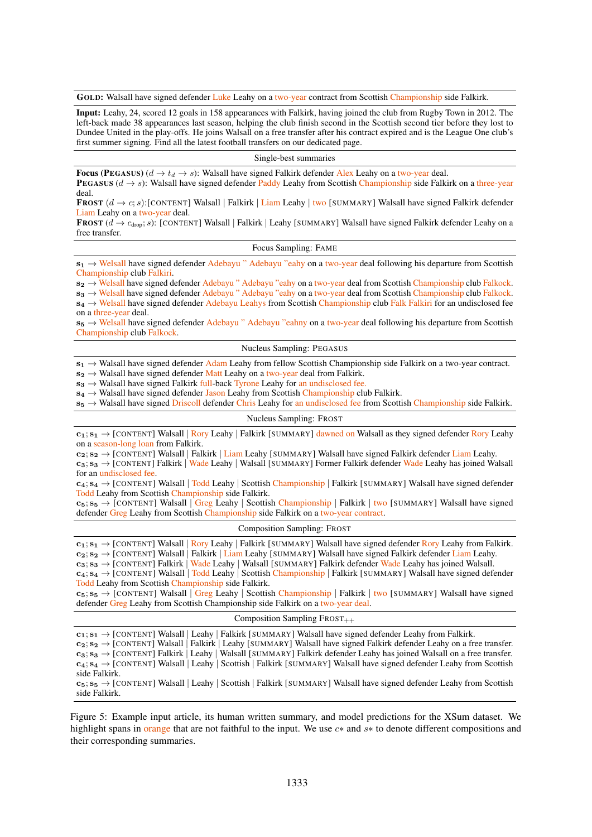<span id="page-14-0"></span>GOLD: Walsall have signed defender Luke Leahy on a two-year contract from Scottish Championship side Falkirk.

Input: Leahy, 24, scored 12 goals in 158 appearances with Falkirk, having joined the club from Rugby Town in 2012. The left-back made 38 appearances last season, helping the club finish second in the Scottish second tier before they lost to Dundee United in the play-offs. He joins Walsall on a free transfer after his contract expired and is the League One club's first summer signing. Find all the latest football transfers on our dedicated page.

Single-best summaries

**Focus (PEGASUS)**  $(d \rightarrow t_d \rightarrow s)$ : Walsall have signed Falkirk defender Alex Leahy on a two-year deal. **PEGASUS**  $(d \rightarrow s)$ : Walsall have signed defender Paddy Leahy from Scottish Championship side Falkirk on a three-year

**FROST**  $(d \rightarrow c; s)$ :[CONTENT] Walsall | Falkirk | Liam Leahy | two [SUMMARY] Walsall have signed Falkirk defender Liam Leahy on a two-year deal.

**FROST**  $(d \rightarrow c_{drop}; s)$ : [CONTENT] Walsall | Falkirk | Leahy [SUMMARY] Walsall have signed Falkirk defender Leahy on a free transfer.

Focus Sampling: FAME

 $s_1 \rightarrow$  Welsall have signed defender Adebayu " Adebayu "eahy on a two-year deal following his departure from Scottish Championship club Falkiri.

s<sub>2</sub> → Welsall have signed defender Adebayu " Adebayu "eahy on a two-year deal from Scottish Championship club Falkock. s<sub>3</sub> → Welsall have signed defender Adebayu " Adebayu "eahy on a two-year deal from Scottish Championship club Falkock.

 $s_4 \rightarrow$  Welsall have signed defender Adebayu Leahys from Scottish Championship club Falk Falkiri for an undisclosed fee on a three-year deal.

 $s_5 \rightarrow$  Welsall have signed defender Adebayu " Adebayu "eahny on a two-year deal following his departure from Scottish Championship club Falkock.

### Nucleus Sampling: PEGASUS

 $s_1 \rightarrow$  Walsall have signed defender Adam Leahy from fellow Scottish Championship side Falkirk on a two-year contract.

 $s_2 \rightarrow$  Walsall have signed defender Matt Leahy on a two-year deal from Falkirk.

deal.

 $s_3 \rightarrow$  Walsall have signed Falkirk full-back Tyrone Leahy for an undisclosed fee.

 $s_4 \rightarrow$  Walsall have signed defender Jason Leahy from Scottish Championship club Falkirk.

 $s_5 \rightarrow$  Walsall have signed Driscoll defender Chris Leahy for an undisclosed fee from Scottish Championship side Falkirk.

### Nucleus Sampling: FROST

 $c_1$ ;  $s_1 \rightarrow$  [CONTENT] Walsall | Rory Leahy | Falkirk [SUMMARY] dawned on Walsall as they signed defender Rory Leahy on a season-long loan from Falkirk.

 $c_2$ ; s<sub>2</sub>  $\rightarrow$  [CONTENT] Walsall | Falkirk | Liam Leahy [SUMMARY] Walsall have signed Falkirk defender Liam Leahy.  $c_3$ ;  $s_3 \rightarrow$  [CONTENT] Falkirk | Wade Leahy | Walsall [SUMMARY] Former Falkirk defender Wade Leahy has joined Walsall for an undisclosed fee.

 $c_4$ ; s<sub>4</sub>  $\rightarrow$  [CONTENT] Walsall | Todd Leahy | Scottish Championship | Falkirk [SUMMARY] Walsall have signed defender Todd Leahy from Scottish Championship side Falkirk.

 $c_5$ ; s<sub>5</sub>  $\rightarrow$  [CONTENT] Walsall | Greg Leahy | Scottish Championship | Falkirk | two [SUMMARY] Walsall have signed defender Greg Leahy from Scottish Championship side Falkirk on a two-year contract.

#### Composition Sampling: FROST

 $c_1$ ;  $s_1 \rightarrow$  [CONTENT] Walsall | Rory Leahy | Falkirk [SUMMARY] Walsall have signed defender Rory Leahy from Falkirk.  $c_2$ ;  $s_2 \rightarrow$  [CONTENT] Walsall | Falkirk | Liam Leahy [SUMMARY] Walsall have signed Falkirk defender Liam Leahy.

 $c_3$ ; s<sub>3</sub>  $\rightarrow$  [CONTENT] Falkirk | Wade Leahy | Walsall [SUMMARY] Falkirk defender Wade Leahy has joined Walsall.

 $c_4$ ;  $s_4 \rightarrow$  [CONTENT] Walsall | Todd Leahy | Scottish Championship | Falkirk [SUMMARY] Walsall have signed defender Todd Leahy from Scottish Championship side Falkirk.

 $c_5$ ;  $s_5 \rightarrow$  [CONTENT] Walsall | Greg Leahy | Scottish Championship | Falkirk | two [SUMMARY] Walsall have signed defender Greg Leahy from Scottish Championship side Falkirk on a two-year deal.

#### Composition Sampling FROST++

 $c_1$ ;  $s_1 \rightarrow$  [CONTENT] Walsall | Leahy | Falkirk [SUMMARY] Walsall have signed defender Leahy from Falkirk.  $c_2$ ; s<sub>2</sub>  $\rightarrow$  [CONTENT] Walsall | Falkirk | Leahy [SUMMARY] Walsall have signed Falkirk defender Leahy on a free transfer.  $cs; ss \rightarrow$  [CONTENT] Falkirk | Leahy | Walsall [SUMMARY] Falkirk defender Leahy has joined Walsall on a free transfer.  $c_4$ ;  $s_4 \rightarrow$  [CONTENT] Walsall | Leahy | Scottish | Falkirk [SUMMARY] Walsall have signed defender Leahy from Scottish side Falkirk.  $c_5$ ;  $s_5 \rightarrow$  [CONTENT] Walsall | Leahy | Scottish | Falkirk [SUMMARY] Walsall have signed defender Leahy from Scottish side Falkirk.

Figure 5: Example input article, its human written summary, and model predictions for the XSum dataset. We highlight spans in orange that are not faithful to the input. We use c∗ and s∗ to denote different compositions and their corresponding summaries.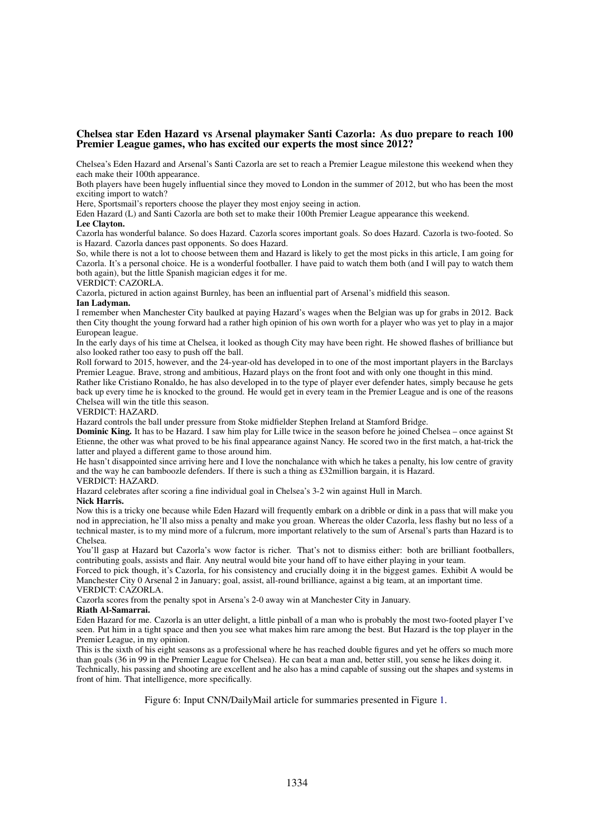### <span id="page-15-0"></span>Chelsea star Eden Hazard vs Arsenal playmaker Santi Cazorla: As duo prepare to reach 100 Premier League games, who has excited our experts the most since 2012?

Chelsea's Eden Hazard and Arsenal's Santi Cazorla are set to reach a Premier League milestone this weekend when they each make their 100th appearance.

Both players have been hugely influential since they moved to London in the summer of 2012, but who has been the most exciting import to watch?

Here, Sportsmail's reporters choose the player they most enjoy seeing in action.

Eden Hazard (L) and Santi Cazorla are both set to make their 100th Premier League appearance this weekend.

### Lee Clayton.

Cazorla has wonderful balance. So does Hazard. Cazorla scores important goals. So does Hazard. Cazorla is two-footed. So is Hazard. Cazorla dances past opponents. So does Hazard.

So, while there is not a lot to choose between them and Hazard is likely to get the most picks in this article, I am going for Cazorla. It's a personal choice. He is a wonderful footballer. I have paid to watch them both (and I will pay to watch them both again), but the little Spanish magician edges it for me.

#### VERDICT: CAZORLA.

Cazorla, pictured in action against Burnley, has been an influential part of Arsenal's midfield this season.

### Ian Ladyman.

I remember when Manchester City baulked at paying Hazard's wages when the Belgian was up for grabs in 2012. Back then City thought the young forward had a rather high opinion of his own worth for a player who was yet to play in a major European league.

In the early days of his time at Chelsea, it looked as though City may have been right. He showed flashes of brilliance but also looked rather too easy to push off the ball.

Roll forward to 2015, however, and the 24-year-old has developed in to one of the most important players in the Barclays Premier League. Brave, strong and ambitious, Hazard plays on the front foot and with only one thought in this mind.

Rather like Cristiano Ronaldo, he has also developed in to the type of player ever defender hates, simply because he gets back up every time he is knocked to the ground. He would get in every team in the Premier League and is one of the reasons Chelsea will win the title this season.

#### VERDICT: HAZARD.

Hazard controls the ball under pressure from Stoke midfielder Stephen Ireland at Stamford Bridge.

Dominic King. It has to be Hazard. I saw him play for Lille twice in the season before he joined Chelsea – once against St Etienne, the other was what proved to be his final appearance against Nancy. He scored two in the first match, a hat-trick the latter and played a different game to those around him.

He hasn't disappointed since arriving here and I love the nonchalance with which he takes a penalty, his low centre of gravity and the way he can bamboozle defenders. If there is such a thing as £32million bargain, it is Hazard.

#### VERDICT: HAZARD.

Hazard celebrates after scoring a fine individual goal in Chelsea's 3-2 win against Hull in March.

#### Nick Harris.

Now this is a tricky one because while Eden Hazard will frequently embark on a dribble or dink in a pass that will make you nod in appreciation, he'll also miss a penalty and make you groan. Whereas the older Cazorla, less flashy but no less of a technical master, is to my mind more of a fulcrum, more important relatively to the sum of Arsenal's parts than Hazard is to Chelsea.

You'll gasp at Hazard but Cazorla's wow factor is richer. That's not to dismiss either: both are brilliant footballers, contributing goals, assists and flair. Any neutral would bite your hand off to have either playing in your team.

Forced to pick though, it's Cazorla, for his consistency and crucially doing it in the biggest games. Exhibit A would be Manchester City 0 Arsenal 2 in January; goal, assist, all-round brilliance, against a big team, at an important time. VERDICT: CAZORLA.

Cazorla scores from the penalty spot in Arsena's 2-0 away win at Manchester City in January.

#### Riath Al-Samarrai.

Eden Hazard for me. Cazorla is an utter delight, a little pinball of a man who is probably the most two-footed player I've seen. Put him in a tight space and then you see what makes him rare among the best. But Hazard is the top player in the Premier League, in my opinion.

This is the sixth of his eight seasons as a professional where he has reached double figures and yet he offers so much more than goals (36 in 99 in the Premier League for Chelsea). He can beat a man and, better still, you sense he likes doing it. Technically, his passing and shooting are excellent and he also has a mind capable of sussing out the shapes and systems in front of him. That intelligence, more specifically.

Figure 6: Input CNN/DailyMail article for summaries presented in Figure [1.](#page-1-0)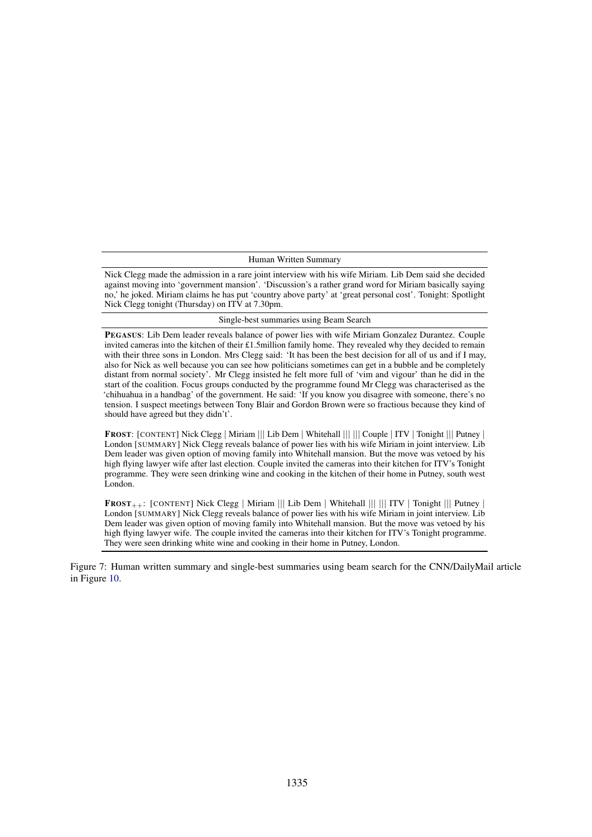#### Human Written Summary

<span id="page-16-0"></span>Nick Clegg made the admission in a rare joint interview with his wife Miriam. Lib Dem said she decided against moving into 'government mansion'. 'Discussion's a rather grand word for Miriam basically saying no,' he joked. Miriam claims he has put 'country above party' at 'great personal cost'. Tonight: Spotlight Nick Clegg tonight (Thursday) on ITV at 7.30pm.

Single-best summaries using Beam Search

PEGASUS: Lib Dem leader reveals balance of power lies with wife Miriam Gonzalez Durantez. Couple invited cameras into the kitchen of their £1.5million family home. They revealed why they decided to remain with their three sons in London. Mrs Clegg said: 'It has been the best decision for all of us and if I may, also for Nick as well because you can see how politicians sometimes can get in a bubble and be completely distant from normal society'. Mr Clegg insisted he felt more full of 'vim and vigour' than he did in the start of the coalition. Focus groups conducted by the programme found Mr Clegg was characterised as the 'chihuahua in a handbag' of the government. He said: 'If you know you disagree with someone, there's no tension. I suspect meetings between Tony Blair and Gordon Brown were so fractious because they kind of should have agreed but they didn't'.

FROST: [CONTENT] Nick Clegg | Miriam ||| Lib Dem | Whitehall ||| ||| Couple | ITV | Tonight ||| Putney | London [SUMMARY] Nick Clegg reveals balance of power lies with his wife Miriam in joint interview. Lib Dem leader was given option of moving family into Whitehall mansion. But the move was vetoed by his high flying lawyer wife after last election. Couple invited the cameras into their kitchen for ITV's Tonight programme. They were seen drinking wine and cooking in the kitchen of their home in Putney, south west London.

FROST++: [CONTENT] Nick Clegg | Miriam ||| Lib Dem | Whitehall ||| ||| ITV | Tonight ||| Putney | London [SUMMARY] Nick Clegg reveals balance of power lies with his wife Miriam in joint interview. Lib Dem leader was given option of moving family into Whitehall mansion. But the move was vetoed by his high flying lawyer wife. The couple invited the cameras into their kitchen for ITV's Tonight programme. They were seen drinking white wine and cooking in their home in Putney, London.

Figure 7: Human written summary and single-best summaries using beam search for the CNN/DailyMail article in Figure [10.](#page-19-0)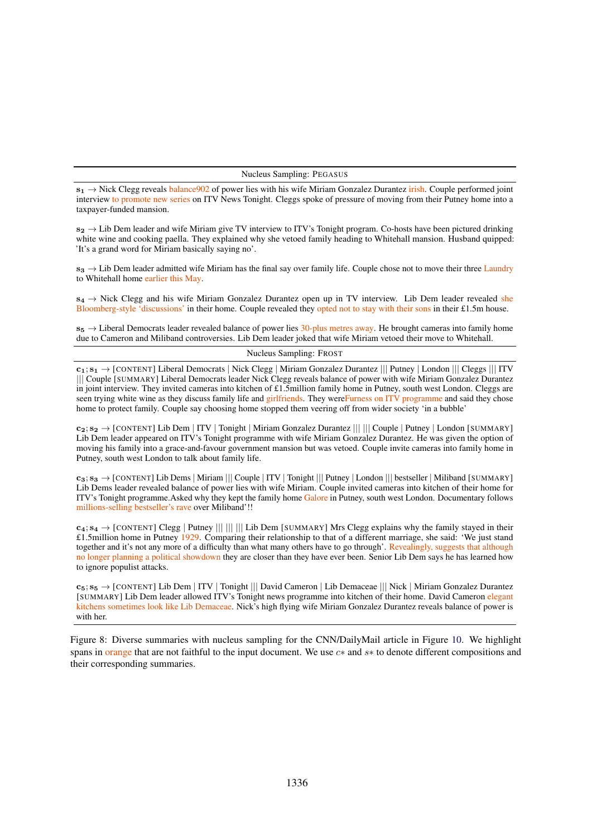#### Nucleus Sampling: PEGASUS

 $s_1 \rightarrow$  Nick Clegg reveals balance 902 of power lies with his wife Miriam Gonzalez Durantez irish. Couple performed joint interview to promote new series on ITV News Tonight. Cleggs spoke of pressure of moving from their Putney home into a taxpayer-funded mansion.

 $s_2 \rightarrow$  Lib Dem leader and wife Miriam give TV interview to ITV's Tonight program. Co-hosts have been pictured drinking white wine and cooking paella. They explained why she vetoed family heading to Whitehall mansion. Husband quipped: 'It's a grand word for Miriam basically saying no'.

 $s_3 \rightarrow$  Lib Dem leader admitted wife Miriam has the final say over family life. Couple chose not to move their three Laundry to Whitehall home earlier this May.

 $s_4 \rightarrow$  Nick Clegg and his wife Miriam Gonzalez Durantez open up in TV interview. Lib Dem leader revealed she Bloomberg-style 'discussions' in their home. Couple revealed they opted not to stay with their sons in their £1.5m house.

 $s_5 \rightarrow$  Liberal Democrats leader revealed balance of power lies 30-plus metres away. He brought cameras into family home due to Cameron and Miliband controversies. Lib Dem leader joked that wife Miriam vetoed their move to Whitehall.

### Nucleus Sampling: FROST

 $c_1$ ;  $s_1 \rightarrow$  [CONTENT] Liberal Democrats | Nick Clegg | Miriam Gonzalez Durantez ||| Putney | London ||| Cleggs ||| ITV ||| Couple [SUMMARY] Liberal Democrats leader Nick Clegg reveals balance of power with wife Miriam Gonzalez Durantez in joint interview. They invited cameras into kitchen of £1.5million family home in Putney, south west London. Cleggs are seen trying white wine as they discuss family life and girlfriends. They wereFurness on ITV programme and said they chose home to protect family. Couple say choosing home stopped them veering off from wider society 'in a bubble'

 $c_2$ ; s<sub>2</sub>  $\rightarrow$  [CONTENT] Lib Dem | ITV | Tonight | Miriam Gonzalez Durantez ||| ||| Couple | Putney | London [SUMMARY] Lib Dem leader appeared on ITV's Tonight programme with wife Miriam Gonzalez Durantez. He was given the option of moving his family into a grace-and-favour government mansion but was vetoed. Couple invite cameras into family home in Putney, south west London to talk about family life.

 $c_3$ ;  $s_3 \rightarrow$  [CONTENT] Lib Dems | Miriam ||| Couple | ITV | Tonight ||| Putney | London ||| bestseller | Miliband [SUMMARY] Lib Dems leader revealed balance of power lies with wife Miriam. Couple invited cameras into kitchen of their home for ITV's Tonight programme.Asked why they kept the family home Galore in Putney, south west London. Documentary follows millions-selling bestseller's rave over Miliband'!!

 $c_4$ ;  $s_4 \rightarrow$  [CONTENT] Clegg | Putney ||| ||| ||| Lib Dem [SUMMARY] Mrs Clegg explains why the family stayed in their £1.5million home in Putney 1929. Comparing their relationship to that of a different marriage, she said: 'We just stand together and it's not any more of a difficulty than what many others have to go through'. Revealingly, suggests that although no longer planning a political showdown they are closer than they have ever been. Senior Lib Dem says he has learned how to ignore populist attacks.

 $c_5$ ;  $s_5 \rightarrow$  [CONTENT] Lib Dem | ITV | Tonight ||| David Cameron | Lib Demaceae ||| Nick | Miriam Gonzalez Durantez [SUMMARY] Lib Dem leader allowed ITV's Tonight news programme into kitchen of their home. David Cameron elegant kitchens sometimes look like Lib Demaceae. Nick's high flying wife Miriam Gonzalez Durantez reveals balance of power is with her.

Figure 8: Diverse summaries with nucleus sampling for the CNN/DailyMail article in Figure [10.](#page-19-0) We highlight spans in orange that are not faithful to the input document. We use  $c*$  and  $s*$  to denote different compositions and their corresponding summaries.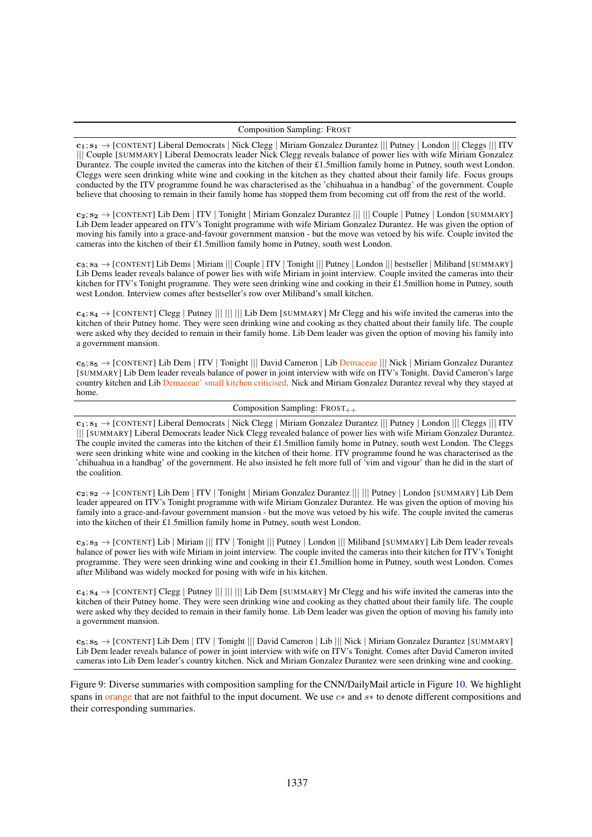#### Composition Sampling: FROST

<span id="page-18-0"></span> $c_1$ ;  $s_1 \rightarrow$  [CONTENT] Liberal Democrats | Nick Clegg | Miriam Gonzalez Durantez ||| Putney | London ||| Cleggs ||| ITV ||| Couple [SUMMARY] Liberal Democrats leader Nick Clegg reveals balance of power lies with wife Miriam Gonzalez Durantez. The couple invited the cameras into the kitchen of their £1.5million family home in Putney, south west London. Cleggs were seen drinking white wine and cooking in the kitchen as they chatted about their family life. Focus groups conducted by the ITV programme found he was characterised as the 'chihuahua in a handbag' of the government. Couple believe that choosing to remain in their family home has stopped them from becoming cut off from the rest of the world.

 $c_2$ ;  $s_2 \rightarrow$  [CONTENT] Lib Dem | ITV | Tonight | Miriam Gonzalez Durantez ||| ||| Couple | Putney | London [SUMMARY] Lib Dem leader appeared on ITV's Tonight programme with wife Miriam Gonzalez Durantez. He was given the option of moving his family into a grace-and-favour government mansion - but the move was vetoed by his wife. Couple invited the cameras into the kitchen of their £1.5million family home in Putney, south west London.

 $\mathbf{c}_3$ ;  $\mathbf{s}_3 \to$  [CONTENT] Lib Dems | Miriam ||| Couple | ITV | Tonight ||| Putney | London ||| bestseller | Miliband [SUMMARY] Lib Dems leader reveals balance of power lies with wife Miriam in joint interview. Couple invited the cameras into their kitchen for ITV's Tonight programme. They were seen drinking wine and cooking in their £1.5million home in Putney, south west London. Interview comes after bestseller's row over Miliband's small kitchen.

 $c_4$ ;  $s_4 \rightarrow$  [CONTENT] Clegg | Putney ||| ||| ||| Lib Dem [SUMMARY] Mr Clegg and his wife invited the cameras into the kitchen of their Putney home. They were seen drinking wine and cooking as they chatted about their family life. The couple were asked why they decided to remain in their family home. Lib Dem leader was given the option of moving his family into a government mansion.

 $c_5$ ; s<sub>5</sub>  $\rightarrow$  [CONTENT] Lib Dem | ITV | Tonight ||| David Cameron | Lib Demaceae ||| Nick | Miriam Gonzalez Durantez [SUMMARY] Lib Dem leader reveals balance of power in joint interview with wife on ITV's Tonight. David Cameron's large country kitchen and Lib Demaceae' small kitchen criticised. Nick and Miriam Gonzalez Durantez reveal why they stayed at home.

### Composition Sampling: FROST++

 $c_1$ ;  $s_1 \rightarrow$  [CONTENT] Liberal Democrats | Nick Clegg | Miriam Gonzalez Durantez ||| Putney | London ||| Cleggs ||| ITV ||| [SUMMARY] Liberal Democrats leader Nick Clegg revealed balance of power lies with wife Miriam Gonzalez Durantez. The couple invited the cameras into the kitchen of their  $\pounds$ 1.5million family home in Putney, south west London. The Cleggs were seen drinking white wine and cooking in the kitchen of their home. ITV programme found he was characterised as the 'chihuahua in a handbag' of the government. He also insisted he felt more full of 'vim and vigour' than he did in the start of the coalition.

 $c_2$ ; s<sub>2</sub>  $\rightarrow$  [CONTENT] Lib Dem | ITV | Tonight | Miriam Gonzalez Durantez ||| ||| Putney | London [SUMMARY] Lib Dem leader appeared on ITV's Tonight programme with wife Miriam Gonzalez Durantez. He was given the option of moving his family into a grace-and-favour government mansion - but the move was vetoed by his wife. The couple invited the cameras into the kitchen of their £1.5million family home in Putney, south west London.

c3; s<sup>3</sup> → [CONTENT] Lib | Miriam ||| ITV | Tonight ||| Putney | London ||| Miliband [SUMMARY] Lib Dem leader reveals balance of power lies with wife Miriam in joint interview. The couple invited the cameras into their kitchen for ITV's Tonight programme. They were seen drinking wine and cooking in their £1.5million home in Putney, south west London. Comes after Miliband was widely mocked for posing with wife in his kitchen.

 $c_4$ ;  $s_4 \rightarrow$  [CONTENT] Clegg | Putney ||| ||| ||| Lib Dem [SUMMARY] Mr Clegg and his wife invited the cameras into the kitchen of their Putney home. They were seen drinking wine and cooking as they chatted about their family life. The couple were asked why they decided to remain in their family home. Lib Dem leader was given the option of moving his family into a government mansion.

 $c_5$ ;  $s_5 \rightarrow$  [CONTENT] Lib Dem | ITV | Tonight ||| David Cameron | Lib ||| Nick | Miriam Gonzalez Durantez [SUMMARY] Lib Dem leader reveals balance of power in joint interview with wife on ITV's Tonight. Comes after David Cameron invited cameras into Lib Dem leader's country kitchen. Nick and Miriam Gonzalez Durantez were seen drinking wine and cooking.

Figure 9: Diverse summaries with composition sampling for the CNN/DailyMail article in Figure [10.](#page-19-0) We highlight spans in orange that are not faithful to the input document. We use  $c*$  and  $s*$  to denote different compositions and their corresponding summaries.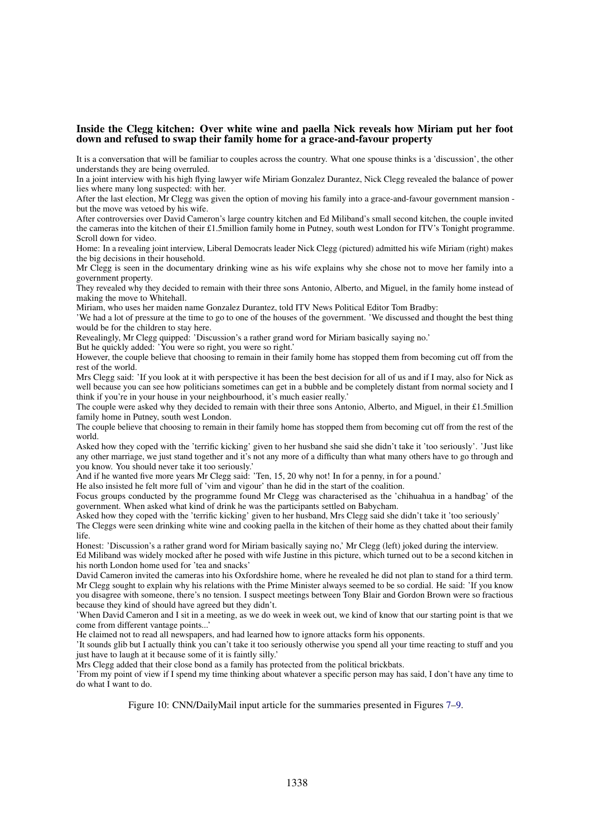### <span id="page-19-0"></span>Inside the Clegg kitchen: Over white wine and paella Nick reveals how Miriam put her foot down and refused to swap their family home for a grace-and-favour property

It is a conversation that will be familiar to couples across the country. What one spouse thinks is a 'discussion', the other understands they are being overruled.

In a joint interview with his high flying lawyer wife Miriam Gonzalez Durantez, Nick Clegg revealed the balance of power lies where many long suspected: with her.

After the last election, Mr Clegg was given the option of moving his family into a grace-and-favour government mansion but the move was vetoed by his wife.

After controversies over David Cameron's large country kitchen and Ed Miliband's small second kitchen, the couple invited the cameras into the kitchen of their £1.5million family home in Putney, south west London for ITV's Tonight programme. Scroll down for video.

Home: In a revealing joint interview, Liberal Democrats leader Nick Clegg (pictured) admitted his wife Miriam (right) makes the big decisions in their household.

Mr Clegg is seen in the documentary drinking wine as his wife explains why she chose not to move her family into a government property.

They revealed why they decided to remain with their three sons Antonio, Alberto, and Miguel, in the family home instead of making the move to Whitehall.

Miriam, who uses her maiden name Gonzalez Durantez, told ITV News Political Editor Tom Bradby:

'We had a lot of pressure at the time to go to one of the houses of the government. 'We discussed and thought the best thing would be for the children to stay here.

Revealingly, Mr Clegg quipped: 'Discussion's a rather grand word for Miriam basically saying no.'

But he quickly added: 'You were so right, you were so right.'

However, the couple believe that choosing to remain in their family home has stopped them from becoming cut off from the rest of the world.

Mrs Clegg said: 'If you look at it with perspective it has been the best decision for all of us and if I may, also for Nick as well because you can see how politicians sometimes can get in a bubble and be completely distant from normal society and I think if you're in your house in your neighbourhood, it's much easier really.'

The couple were asked why they decided to remain with their three sons Antonio, Alberto, and Miguel, in their £1.5million family home in Putney, south west London.

The couple believe that choosing to remain in their family home has stopped them from becoming cut off from the rest of the world.

Asked how they coped with the 'terrific kicking' given to her husband she said she didn't take it 'too seriously'. 'Just like any other marriage, we just stand together and it's not any more of a difficulty than what many others have to go through and you know. You should never take it too seriously.'

And if he wanted five more years Mr Clegg said: 'Ten, 15, 20 why not! In for a penny, in for a pound.'

He also insisted he felt more full of 'vim and vigour' than he did in the start of the coalition.

Focus groups conducted by the programme found Mr Clegg was characterised as the 'chihuahua in a handbag' of the government. When asked what kind of drink he was the participants settled on Babycham.

Asked how they coped with the 'terrific kicking' given to her husband, Mrs Clegg said she didn't take it 'too seriously'

The Cleggs were seen drinking white wine and cooking paella in the kitchen of their home as they chatted about their family life.

Honest: 'Discussion's a rather grand word for Miriam basically saying no,' Mr Clegg (left) joked during the interview.

Ed Miliband was widely mocked after he posed with wife Justine in this picture, which turned out to be a second kitchen in his north London home used for 'tea and snacks'

David Cameron invited the cameras into his Oxfordshire home, where he revealed he did not plan to stand for a third term. Mr Clegg sought to explain why his relations with the Prime Minister always seemed to be so cordial. He said: 'If you know you disagree with someone, there's no tension. I suspect meetings between Tony Blair and Gordon Brown were so fractious because they kind of should have agreed but they didn't.

'When David Cameron and I sit in a meeting, as we do week in week out, we kind of know that our starting point is that we come from different vantage points...'

He claimed not to read all newspapers, and had learned how to ignore attacks form his opponents.

'It sounds glib but I actually think you can't take it too seriously otherwise you spend all your time reacting to stuff and you just have to laugh at it because some of it is faintly silly.'

Mrs Clegg added that their close bond as a family has protected from the political brickbats.

'From my point of view if I spend my time thinking about whatever a specific person may has said, I don't have any time to do what I want to do.

Figure 10: CNN/DailyMail input article for the summaries presented in Figures [7–](#page-16-0)[9.](#page-18-0)